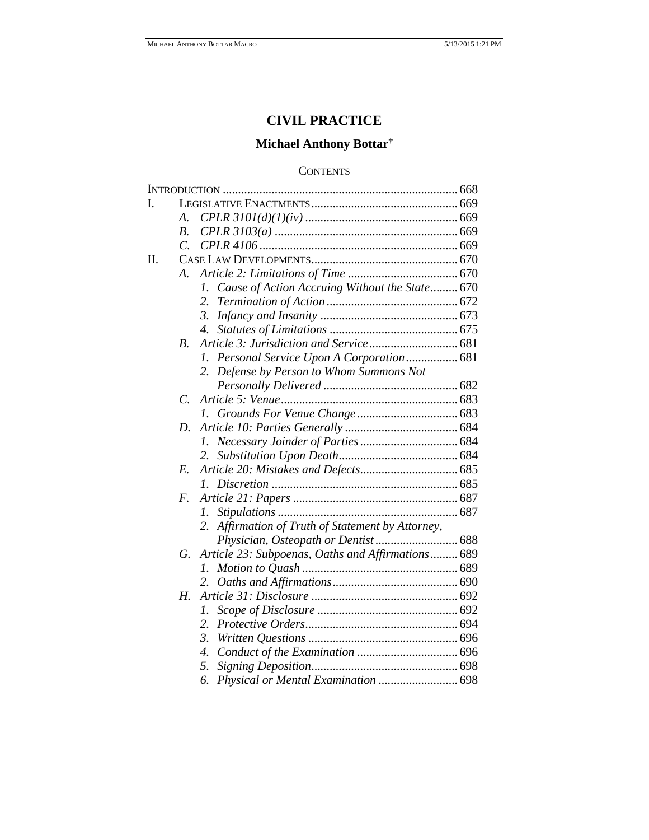# **CIVIL PRACTICE**

# **Michael Anthony Bottar†**

# **CONTENTS**

| I. |                |                                                      |  |
|----|----------------|------------------------------------------------------|--|
|    | А.             |                                                      |  |
|    | В.             |                                                      |  |
|    | $\mathcal{C}$  |                                                      |  |
| Π. |                |                                                      |  |
|    | $\bm{A}$ .     |                                                      |  |
|    |                | Cause of Action Accruing Without the State 670<br>1. |  |
|    |                | 2.                                                   |  |
|    |                | 3.                                                   |  |
|    |                | 4.                                                   |  |
|    | В.             |                                                      |  |
|    |                | Personal Service Upon A Corporation 681<br>L.        |  |
|    |                | Defense by Person to Whom Summons Not<br>2.          |  |
|    |                |                                                      |  |
|    | $\overline{C}$ |                                                      |  |
|    |                | $\mathcal{L}$                                        |  |
|    | D.             |                                                      |  |
|    |                | L.                                                   |  |
|    |                | 2.                                                   |  |
|    | E.             |                                                      |  |
|    |                | $\mathcal{L}$                                        |  |
|    | F.             |                                                      |  |
|    |                | Ι.                                                   |  |
|    |                | Affirmation of Truth of Statement by Attorney,       |  |
|    |                |                                                      |  |
|    | G.             | Article 23: Subpoenas, Oaths and Affirmations 689    |  |
|    |                | Ι.                                                   |  |
|    |                | 2.                                                   |  |
|    | Н.             |                                                      |  |
|    |                | 1.                                                   |  |
|    |                | 2.                                                   |  |
|    |                | 3.                                                   |  |
|    |                | 4.                                                   |  |
|    |                | 5.                                                   |  |
|    |                | 6.                                                   |  |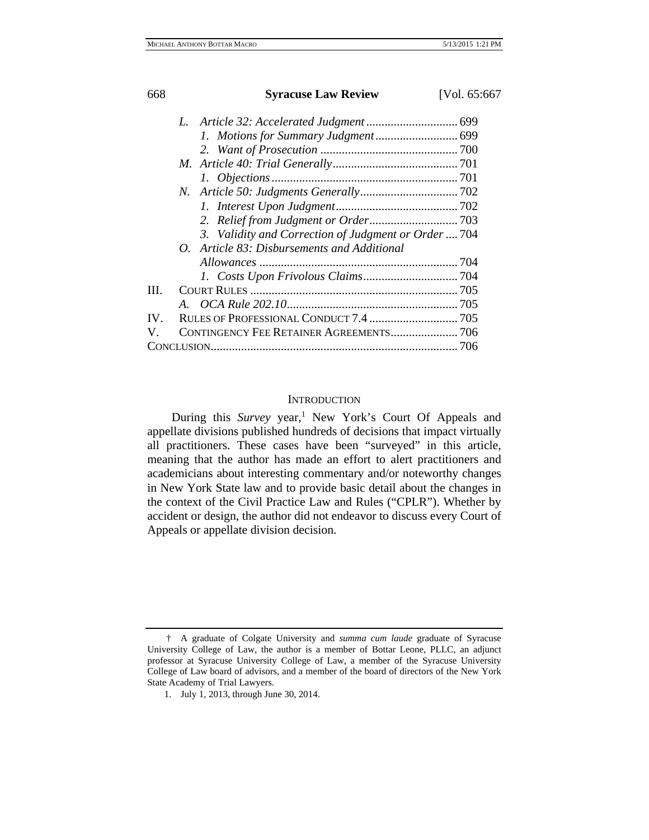|      | 3. Validity and Correction of Judgment or Order  704 |  |
|------|------------------------------------------------------|--|
|      | O. Article 83: Disbursements and Additional          |  |
|      |                                                      |  |
|      |                                                      |  |
| III. |                                                      |  |
|      |                                                      |  |
| IV.  |                                                      |  |
| V.   |                                                      |  |
|      |                                                      |  |
|      |                                                      |  |

# **INTRODUCTION**

During this *Survey* year,<sup>1</sup> New York's Court Of Appeals and appellate divisions published hundreds of decisions that impact virtually all practitioners. These cases have been "surveyed" in this article, meaning that the author has made an effort to alert practitioners and academicians about interesting commentary and/or noteworthy changes in New York State law and to provide basic detail about the changes in the context of the Civil Practice Law and Rules ("CPLR"). Whether by accident or design, the author did not endeavor to discuss every Court of Appeals or appellate division decision.

<sup>†</sup> A graduate of Colgate University and *summa cum laude* graduate of Syracuse University College of Law, the author is a member of Bottar Leone, PLLC, an adjunct professor at Syracuse University College of Law, a member of the Syracuse University College of Law board of advisors, and a member of the board of directors of the New York State Academy of Trial Lawyers.

<sup>1.</sup> July 1, 2013, through June 30, 2014.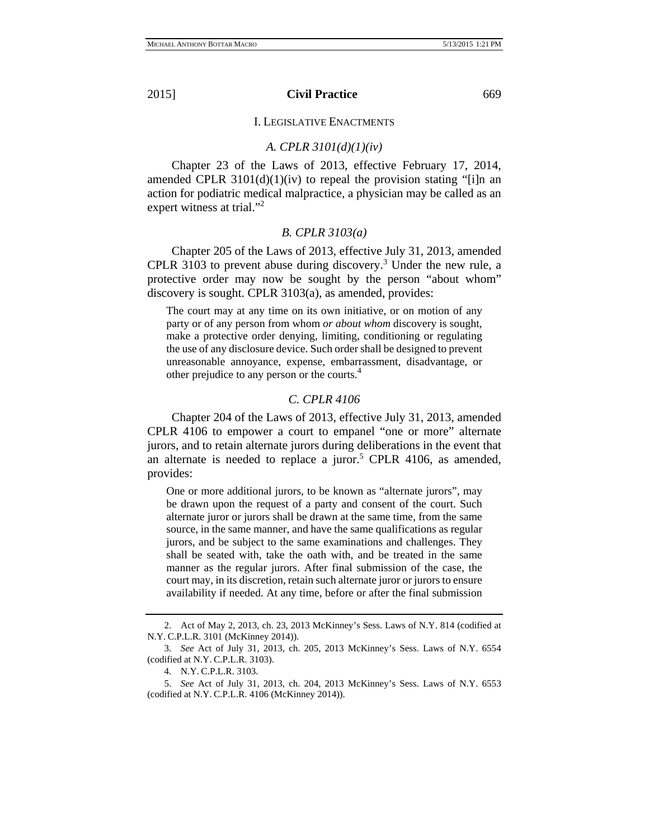I. LEGISLATIVE ENACTMENTS

# *A. CPLR 3101(d)(1)(iv)*

Chapter 23 of the Laws of 2013, effective February 17, 2014, amended CPLR  $3101(d)(1)(iv)$  to repeal the provision stating "[i]n an action for podiatric medical malpractice, a physician may be called as an expert witness at trial."<sup>2</sup>

# *B. CPLR 3103(a)*

Chapter 205 of the Laws of 2013, effective July 31, 2013, amended CPLR 3103 to prevent abuse during discovery.<sup>3</sup> Under the new rule, a protective order may now be sought by the person "about whom" discovery is sought. CPLR 3103(a), as amended, provides:

The court may at any time on its own initiative, or on motion of any party or of any person from whom *or about whom* discovery is sought, make a protective order denying, limiting, conditioning or regulating the use of any disclosure device. Such order shall be designed to prevent unreasonable annoyance, expense, embarrassment, disadvantage, or other prejudice to any person or the courts.4

# *C. CPLR 4106*

Chapter 204 of the Laws of 2013, effective July 31, 2013, amended CPLR 4106 to empower a court to empanel "one or more" alternate jurors, and to retain alternate jurors during deliberations in the event that an alternate is needed to replace a juror.<sup>5</sup> CPLR 4106, as amended, provides:

One or more additional jurors, to be known as "alternate jurors", may be drawn upon the request of a party and consent of the court. Such alternate juror or jurors shall be drawn at the same time, from the same source, in the same manner, and have the same qualifications as regular jurors, and be subject to the same examinations and challenges. They shall be seated with, take the oath with, and be treated in the same manner as the regular jurors. After final submission of the case, the court may, in its discretion, retain such alternate juror or jurors to ensure availability if needed. At any time, before or after the final submission

<sup>2.</sup> Act of May 2, 2013, ch. 23, 2013 McKinney's Sess. Laws of N.Y. 814 (codified at N.Y. C.P.L.R. 3101 (McKinney 2014)).

<sup>3.</sup> *See* Act of July 31, 2013, ch. 205, 2013 McKinney's Sess. Laws of N.Y. 6554 (codified at N.Y. C.P.L.R. 3103).

<sup>4.</sup> N.Y. C.P.L.R. 3103.

<sup>5.</sup> *See* Act of July 31, 2013, ch. 204, 2013 McKinney's Sess. Laws of N.Y. 6553 (codified at N.Y. C.P.L.R. 4106 (McKinney 2014)).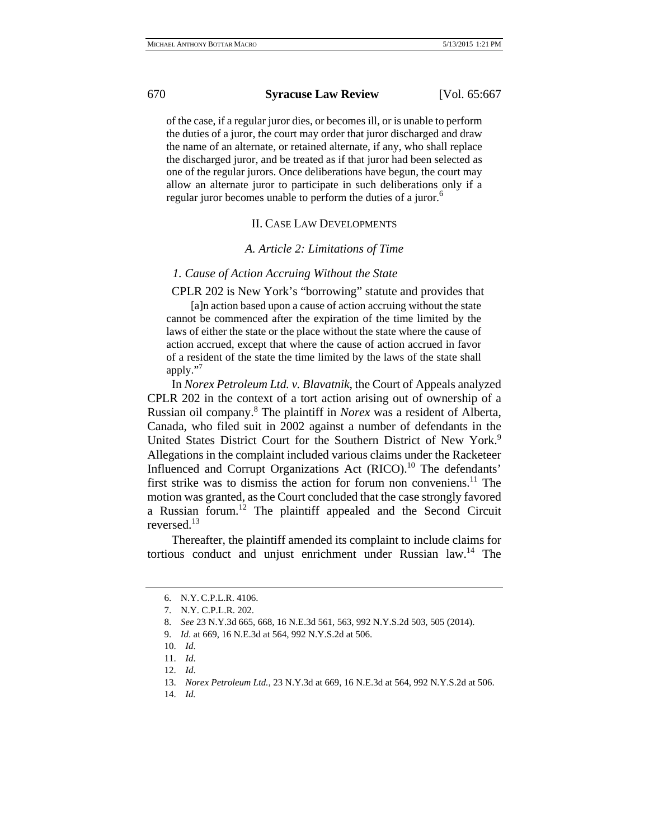of the case, if a regular juror dies, or becomes ill, or is unable to perform the duties of a juror, the court may order that juror discharged and draw the name of an alternate, or retained alternate, if any, who shall replace the discharged juror, and be treated as if that juror had been selected as one of the regular jurors. Once deliberations have begun, the court may allow an alternate juror to participate in such deliberations only if a regular juror becomes unable to perform the duties of a juror.<sup>6</sup>

#### II. CASE LAW DEVELOPMENTS

#### *A. Article 2: Limitations of Time*

# *1. Cause of Action Accruing Without the State*

CPLR 202 is New York's "borrowing" statute and provides that

[a]n action based upon a cause of action accruing without the state cannot be commenced after the expiration of the time limited by the laws of either the state or the place without the state where the cause of action accrued, except that where the cause of action accrued in favor of a resident of the state the time limited by the laws of the state shall apply."7

In *Norex Petroleum Ltd. v. Blavatnik*, the Court of Appeals analyzed CPLR 202 in the context of a tort action arising out of ownership of a Russian oil company.8 The plaintiff in *Norex* was a resident of Alberta, Canada, who filed suit in 2002 against a number of defendants in the United States District Court for the Southern District of New York.<sup>9</sup> Allegations in the complaint included various claims under the Racketeer Influenced and Corrupt Organizations Act  $(RICO).<sup>10</sup>$  The defendants' first strike was to dismiss the action for forum non conveniens.<sup>11</sup> The motion was granted, as the Court concluded that the case strongly favored a Russian forum.12 The plaintiff appealed and the Second Circuit reversed.13

Thereafter, the plaintiff amended its complaint to include claims for tortious conduct and unjust enrichment under Russian law.<sup>14</sup> The

<sup>6.</sup> N.Y. C.P.L.R. 4106.

<sup>7.</sup> N.Y. C.P.L.R. 202.

<sup>8.</sup> *See* 23 N.Y.3d 665, 668, 16 N.E.3d 561, 563, 992 N.Y.S.2d 503, 505 (2014).

<sup>9.</sup> *Id*. at 669, 16 N.E.3d at 564, 992 N.Y.S.2d at 506.

<sup>10.</sup> *Id*.

<sup>11.</sup> *Id*.

<sup>12.</sup> *Id*.

<sup>13.</sup> *Norex Petroleum Ltd.*, 23 N.Y.3d at 669, 16 N.E.3d at 564, 992 N.Y.S.2d at 506.

<sup>14.</sup> *Id.*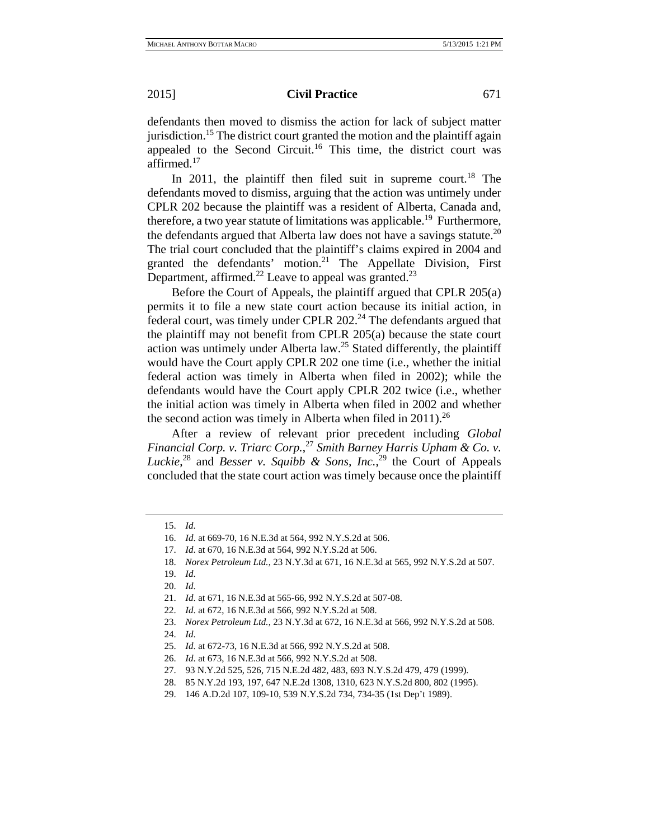defendants then moved to dismiss the action for lack of subject matter jurisdiction.<sup>15</sup> The district court granted the motion and the plaintiff again appealed to the Second Circuit.<sup>16</sup> This time, the district court was affirmed.<sup>17</sup>

In 2011, the plaintiff then filed suit in supreme court.<sup>18</sup> The defendants moved to dismiss, arguing that the action was untimely under CPLR 202 because the plaintiff was a resident of Alberta, Canada and, therefore, a two year statute of limitations was applicable.<sup>19</sup> Furthermore, the defendants argued that Alberta law does not have a savings statute.<sup>20</sup> The trial court concluded that the plaintiff's claims expired in 2004 and granted the defendants' motion.<sup>21</sup> The Appellate Division, First Department, affirmed.<sup>22</sup> Leave to appeal was granted.<sup>23</sup>

Before the Court of Appeals, the plaintiff argued that CPLR 205(a) permits it to file a new state court action because its initial action, in federal court, was timely under CPLR  $202<sup>24</sup>$  The defendants argued that the plaintiff may not benefit from CPLR 205(a) because the state court action was untimely under Alberta law.<sup>25</sup> Stated differently, the plaintiff would have the Court apply CPLR 202 one time (i.e., whether the initial federal action was timely in Alberta when filed in 2002); while the defendants would have the Court apply CPLR 202 twice (i.e., whether the initial action was timely in Alberta when filed in 2002 and whether the second action was timely in Alberta when filed in  $2011$ <sup>26</sup>

After a review of relevant prior precedent including *Global Financial Corp. v. Triarc Corp.*, <sup>27</sup> *Smith Barney Harris Upham & Co. v. Luckie*<sup>28</sup> and *Besser v. Squibb & Sons, Inc.*<sup>29</sup> the Court of Appeals concluded that the state court action was timely because once the plaintiff

<sup>15.</sup> *Id*.

<sup>16.</sup> *Id*. at 669-70, 16 N.E.3d at 564, 992 N.Y.S.2d at 506.

<sup>17.</sup> *Id*. at 670, 16 N.E.3d at 564, 992 N.Y.S.2d at 506.

<sup>18.</sup> *Norex Petroleum Ltd.*, 23 N.Y.3d at 671, 16 N.E.3d at 565, 992 N.Y.S.2d at 507.

<sup>19.</sup> *Id*.

<sup>20.</sup> *Id*.

<sup>21.</sup> *Id*. at 671, 16 N.E.3d at 565-66, 992 N.Y.S.2d at 507-08.

<sup>22.</sup> *Id*. at 672, 16 N.E.3d at 566, 992 N.Y.S.2d at 508.

<sup>23.</sup> *Norex Petroleum Ltd.*, 23 N.Y.3d at 672, 16 N.E.3d at 566, 992 N.Y.S.2d at 508.

<sup>24.</sup> *Id*.

<sup>25.</sup> *Id*. at 672-73, 16 N.E.3d at 566, 992 N.Y.S.2d at 508.

<sup>26.</sup> *Id*. at 673, 16 N.E.3d at 566, 992 N.Y.S.2d at 508.

<sup>27. 93</sup> N.Y.2d 525, 526, 715 N.E.2d 482, 483, 693 N.Y.S.2d 479, 479 (1999).

<sup>28. 85</sup> N.Y.2d 193, 197, 647 N.E.2d 1308, 1310, 623 N.Y.S.2d 800, 802 (1995).

<sup>29. 146</sup> A.D.2d 107, 109-10, 539 N.Y.S.2d 734, 734-35 (1st Dep't 1989).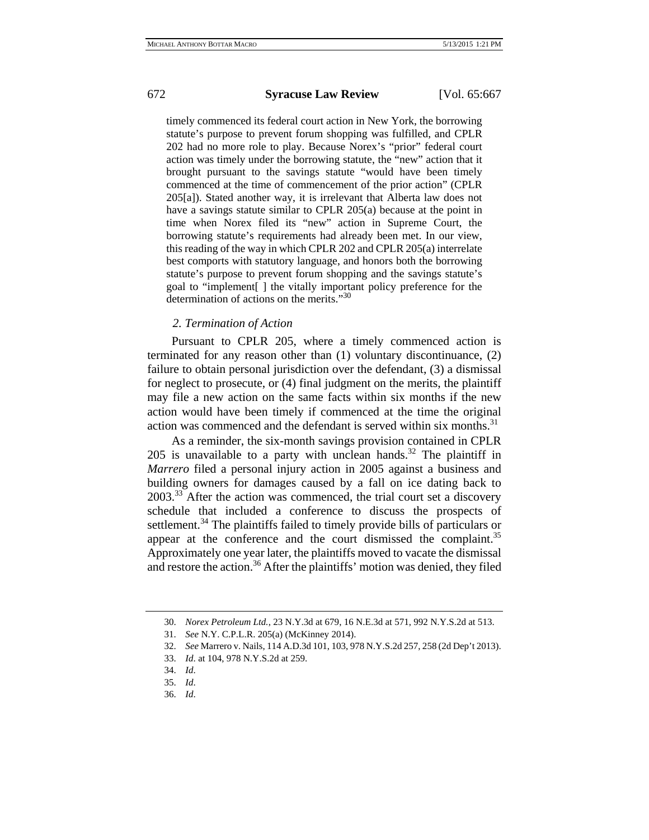timely commenced its federal court action in New York, the borrowing statute's purpose to prevent forum shopping was fulfilled, and CPLR 202 had no more role to play. Because Norex's "prior" federal court action was timely under the borrowing statute, the "new" action that it brought pursuant to the savings statute "would have been timely commenced at the time of commencement of the prior action" (CPLR 205[a]). Stated another way, it is irrelevant that Alberta law does not have a savings statute similar to CPLR 205(a) because at the point in time when Norex filed its "new" action in Supreme Court, the borrowing statute's requirements had already been met. In our view, this reading of the way in which CPLR 202 and CPLR 205(a) interrelate best comports with statutory language, and honors both the borrowing statute's purpose to prevent forum shopping and the savings statute's goal to "implement[ ] the vitally important policy preference for the determination of actions on the merits."30

# *2. Termination of Action*

Pursuant to CPLR 205, where a timely commenced action is terminated for any reason other than (1) voluntary discontinuance, (2) failure to obtain personal jurisdiction over the defendant, (3) a dismissal for neglect to prosecute, or (4) final judgment on the merits, the plaintiff may file a new action on the same facts within six months if the new action would have been timely if commenced at the time the original action was commenced and the defendant is served within six months.<sup>31</sup>

As a reminder, the six-month savings provision contained in CPLR 205 is unavailable to a party with unclean hands.<sup>32</sup> The plaintiff in *Marrero* filed a personal injury action in 2005 against a business and building owners for damages caused by a fall on ice dating back to 2003.33 After the action was commenced, the trial court set a discovery schedule that included a conference to discuss the prospects of settlement.<sup>34</sup> The plaintiffs failed to timely provide bills of particulars or appear at the conference and the court dismissed the complaint.<sup>35</sup> Approximately one year later, the plaintiffs moved to vacate the dismissal and restore the action.<sup>36</sup> After the plaintiffs' motion was denied, they filed

<sup>30.</sup> *Norex Petroleum Ltd.*, 23 N.Y.3d at 679, 16 N.E.3d at 571, 992 N.Y.S.2d at 513.

<sup>31.</sup> *See* N.Y. C.P.L.R. 205(a) (McKinney 2014).

<sup>32.</sup> *See* Marrero v. Nails, 114 A.D.3d 101, 103, 978 N.Y.S.2d 257, 258 (2d Dep't 2013).

<sup>33.</sup> *Id*. at 104, 978 N.Y.S.2d at 259.

<sup>34.</sup> *Id*.

<sup>35.</sup> *Id*.

<sup>36.</sup> *Id*.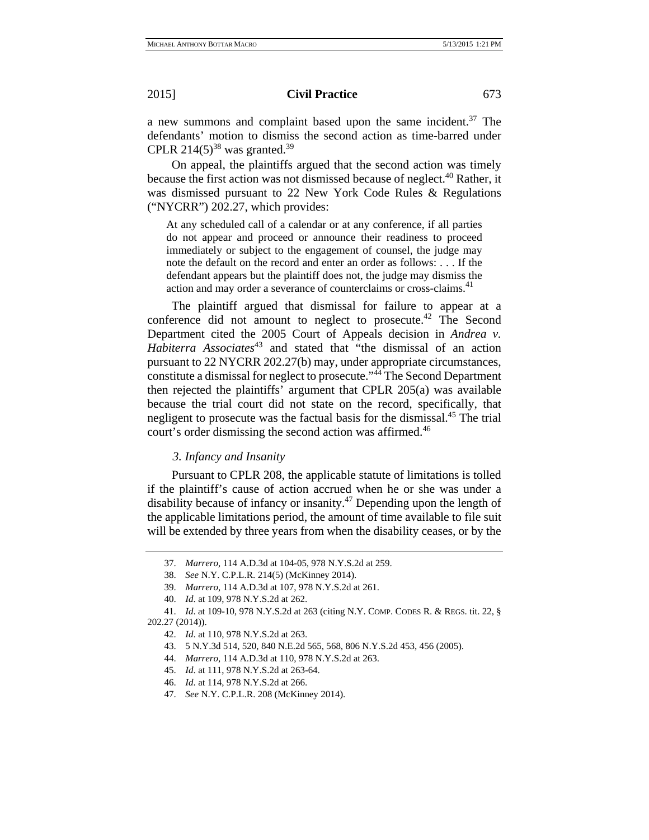a new summons and complaint based upon the same incident. $37$  The defendants' motion to dismiss the second action as time-barred under CPLR 214(5)<sup>38</sup> was granted.<sup>39</sup>

On appeal, the plaintiffs argued that the second action was timely because the first action was not dismissed because of neglect.<sup>40</sup> Rather, it was dismissed pursuant to 22 New York Code Rules & Regulations ("NYCRR") 202.27, which provides:

At any scheduled call of a calendar or at any conference, if all parties do not appear and proceed or announce their readiness to proceed immediately or subject to the engagement of counsel, the judge may note the default on the record and enter an order as follows: . . . If the defendant appears but the plaintiff does not, the judge may dismiss the action and may order a severance of counterclaims or cross-claims.<sup>41</sup>

The plaintiff argued that dismissal for failure to appear at a conference did not amount to neglect to prosecute.<sup>42</sup> The Second Department cited the 2005 Court of Appeals decision in *Andrea v. Habiterra Associates*43 and stated that "the dismissal of an action pursuant to 22 NYCRR 202.27(b) may, under appropriate circumstances, constitute a dismissal for neglect to prosecute."44 The Second Department then rejected the plaintiffs' argument that CPLR 205(a) was available because the trial court did not state on the record, specifically, that negligent to prosecute was the factual basis for the dismissal.<sup>45</sup> The trial court's order dismissing the second action was affirmed.<sup>46</sup>

### *3. Infancy and Insanity*

Pursuant to CPLR 208, the applicable statute of limitations is tolled if the plaintiff's cause of action accrued when he or she was under a disability because of infancy or insanity.<sup>47</sup> Depending upon the length of the applicable limitations period, the amount of time available to file suit will be extended by three years from when the disability ceases, or by the

<sup>37.</sup> *Marrero*, 114 A.D.3d at 104-05, 978 N.Y.S.2d at 259.

<sup>38.</sup> *See* N.Y. C.P.L.R. 214(5) (McKinney 2014).

<sup>39.</sup> *Marrero*, 114 A.D.3d at 107, 978 N.Y.S.2d at 261.

<sup>40.</sup> *Id*. at 109, 978 N.Y.S.2d at 262.

<sup>41.</sup> *Id*. at 109-10, 978 N.Y.S.2d at 263 (citing N.Y. COMP. CODES R. & REGS. tit. 22, § 202.27 (2014)).

<sup>42.</sup> *Id*. at 110, 978 N.Y.S.2d at 263.

<sup>43. 5</sup> N.Y.3d 514, 520, 840 N.E.2d 565, 568, 806 N.Y.S.2d 453, 456 (2005).

<sup>44.</sup> *Marrero*, 114 A.D.3d at 110, 978 N.Y.S.2d at 263.

<sup>45.</sup> *Id*. at 111, 978 N.Y.S.2d at 263-64.

<sup>46.</sup> *Id*. at 114, 978 N.Y.S.2d at 266.

<sup>47.</sup> *See* N.Y. C.P.L.R. 208 (McKinney 2014).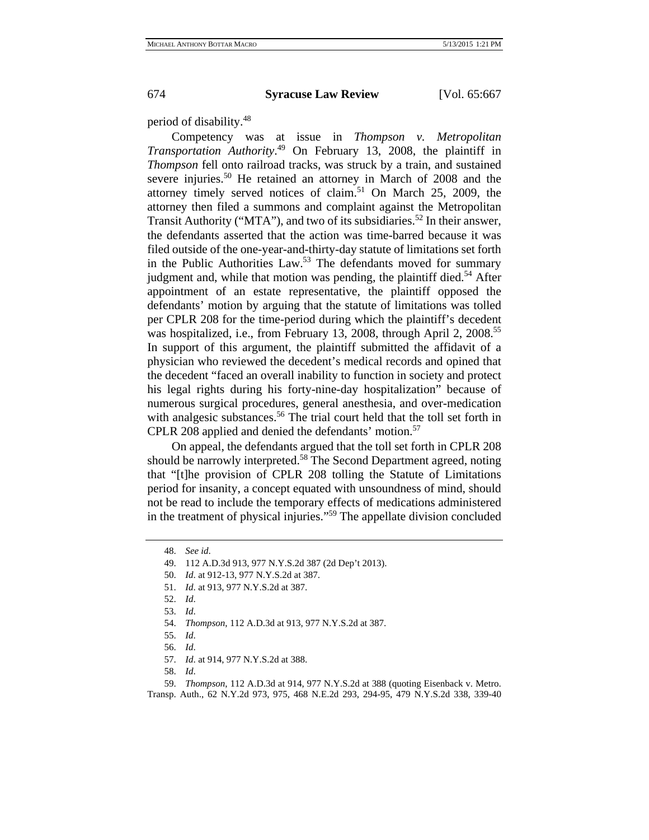period of disability.48

Competency was at issue in *Thompson v. Metropolitan Transportation Authority*. 49 On February 13, 2008, the plaintiff in *Thompson* fell onto railroad tracks, was struck by a train, and sustained severe injuries.<sup>50</sup> He retained an attorney in March of 2008 and the attorney timely served notices of claim.51 On March 25, 2009, the attorney then filed a summons and complaint against the Metropolitan Transit Authority ("MTA"), and two of its subsidiaries.<sup>52</sup> In their answer, the defendants asserted that the action was time-barred because it was filed outside of the one-year-and-thirty-day statute of limitations set forth in the Public Authorities Law.<sup>53</sup> The defendants moved for summary judgment and, while that motion was pending, the plaintiff died.<sup>54</sup> After appointment of an estate representative, the plaintiff opposed the defendants' motion by arguing that the statute of limitations was tolled per CPLR 208 for the time-period during which the plaintiff's decedent was hospitalized, i.e., from February 13, 2008, through April 2, 2008.<sup>55</sup> In support of this argument, the plaintiff submitted the affidavit of a physician who reviewed the decedent's medical records and opined that the decedent "faced an overall inability to function in society and protect his legal rights during his forty-nine-day hospitalization" because of numerous surgical procedures, general anesthesia, and over-medication with analgesic substances.<sup>56</sup> The trial court held that the toll set forth in CPLR 208 applied and denied the defendants' motion.<sup>57</sup>

On appeal, the defendants argued that the toll set forth in CPLR 208 should be narrowly interpreted.<sup>58</sup> The Second Department agreed, noting that "[t]he provision of CPLR 208 tolling the Statute of Limitations period for insanity, a concept equated with unsoundness of mind, should not be read to include the temporary effects of medications administered in the treatment of physical injuries."59 The appellate division concluded

<sup>48.</sup> *See id*.

<sup>49. 112</sup> A.D.3d 913, 977 N.Y.S.2d 387 (2d Dep't 2013).

<sup>50.</sup> *Id*. at 912-13, 977 N.Y.S.2d at 387.

<sup>51.</sup> *Id*. at 913, 977 N.Y.S.2d at 387.

<sup>52.</sup> *Id*.

<sup>53.</sup> *Id*.

<sup>54.</sup> *Thompson*, 112 A.D.3d at 913, 977 N.Y.S.2d at 387.

<sup>55.</sup> *Id*.

<sup>56.</sup> *Id*.

<sup>57.</sup> *Id*. at 914, 977 N.Y.S.2d at 388.

<sup>58.</sup> *Id*.

<sup>59.</sup> *Thompson*, 112 A.D.3d at 914, 977 N.Y.S.2d at 388 (quoting Eisenback v. Metro. Transp. Auth., 62 N.Y.2d 973, 975, 468 N.E.2d 293, 294-95, 479 N.Y.S.2d 338, 339-40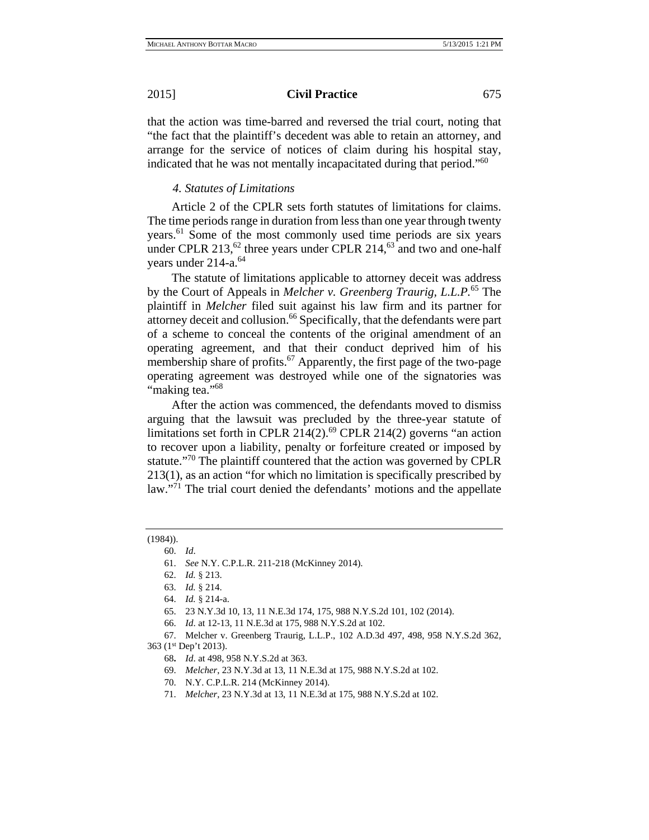that the action was time-barred and reversed the trial court, noting that "the fact that the plaintiff's decedent was able to retain an attorney, and arrange for the service of notices of claim during his hospital stay, indicated that he was not mentally incapacitated during that period."60

# *4. Statutes of Limitations*

Article 2 of the CPLR sets forth statutes of limitations for claims. The time periods range in duration from less than one year through twenty years.<sup>61</sup> Some of the most commonly used time periods are six years under CPLR 213, $^{62}$  three years under CPLR 214, $^{63}$  and two and one-half years under 214-a.<sup>64</sup>

The statute of limitations applicable to attorney deceit was address by the Court of Appeals in *Melcher v. Greenberg Traurig, L.L.P.*<sup>65</sup> The plaintiff in *Melcher* filed suit against his law firm and its partner for attorney deceit and collusion.<sup>66</sup> Specifically, that the defendants were part of a scheme to conceal the contents of the original amendment of an operating agreement, and that their conduct deprived him of his membership share of profits.<sup>67</sup> Apparently, the first page of the two-page operating agreement was destroyed while one of the signatories was "making tea."<sup>68</sup>

After the action was commenced, the defendants moved to dismiss arguing that the lawsuit was precluded by the three-year statute of limitations set forth in CPLR  $214(2)$ .<sup>69</sup> CPLR  $214(2)$  governs "an action to recover upon a liability, penalty or forfeiture created or imposed by statute."70 The plaintiff countered that the action was governed by CPLR 213(1), as an action "for which no limitation is specifically prescribed by law."<sup>71</sup> The trial court denied the defendants' motions and the appellate

#### (1984)).

<sup>60.</sup> *Id*.

<sup>61.</sup> *See* N.Y. C.P.L.R. 211-218 (McKinney 2014).

<sup>62.</sup> *Id.* § 213.

<sup>63.</sup> *Id.* § 214.

<sup>64.</sup> *Id.* § 214-a.

<sup>65. 23</sup> N.Y.3d 10, 13, 11 N.E.3d 174, 175, 988 N.Y.S.2d 101, 102 (2014).

<sup>66.</sup> *Id*. at 12-13, 11 N.E.3d at 175, 988 N.Y.S.2d at 102.

<sup>67.</sup> Melcher v. Greenberg Traurig, L.L.P., 102 A.D.3d 497, 498, 958 N.Y.S.2d 362, 363 (1st Dep't 2013).

<sup>68</sup>**.** *Id*. at 498, 958 N.Y.S.2d at 363.

<sup>69.</sup> *Melcher*, 23 N.Y.3d at 13, 11 N.E.3d at 175, 988 N.Y.S.2d at 102.

<sup>70.</sup> N.Y. C.P.L.R. 214 (McKinney 2014).

<sup>71.</sup> *Melcher*, 23 N.Y.3d at 13, 11 N.E.3d at 175, 988 N.Y.S.2d at 102.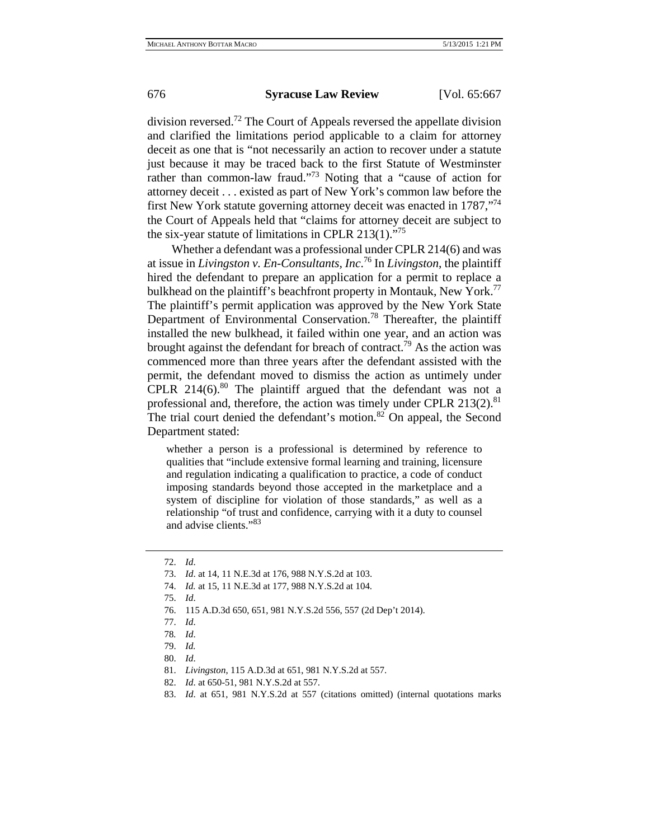division reversed.72 The Court of Appeals reversed the appellate division and clarified the limitations period applicable to a claim for attorney deceit as one that is "not necessarily an action to recover under a statute just because it may be traced back to the first Statute of Westminster rather than common-law fraud."<sup>73</sup> Noting that a "cause of action for attorney deceit . . . existed as part of New York's common law before the first New York statute governing attorney deceit was enacted in 1787,"<sup>74</sup> the Court of Appeals held that "claims for attorney deceit are subject to the six-year statute of limitations in CPLR 213(1). $^{75}$ 

Whether a defendant was a professional under CPLR 214(6) and was at issue in *Livingston v. En-Consultants, Inc*. 76 In *Livingston*, the plaintiff hired the defendant to prepare an application for a permit to replace a bulkhead on the plaintiff's beachfront property in Montauk, New York.<sup>77</sup> The plaintiff's permit application was approved by the New York State Department of Environmental Conservation.<sup>78</sup> Thereafter, the plaintiff installed the new bulkhead, it failed within one year, and an action was brought against the defendant for breach of contract.<sup>79</sup> As the action was commenced more than three years after the defendant assisted with the permit, the defendant moved to dismiss the action as untimely under CPLR  $214(6)$ .<sup>80</sup> The plaintiff argued that the defendant was not a professional and, therefore, the action was timely under CPLR  $213(2)$ .<sup>81</sup> The trial court denied the defendant's motion.<sup>82</sup> On appeal, the Second Department stated:

whether a person is a professional is determined by reference to qualities that "include extensive formal learning and training, licensure and regulation indicating a qualification to practice, a code of conduct imposing standards beyond those accepted in the marketplace and a system of discipline for violation of those standards," as well as a relationship "of trust and confidence, carrying with it a duty to counsel and advise clients."<sup>83</sup>

- 73. *Id*. at 14, 11 N.E.3d at 176, 988 N.Y.S.2d at 103.
- 74. *Id.* at 15, 11 N.E.3d at 177, 988 N.Y.S.2d at 104.
- 75. *Id*.
- 76. 115 A.D.3d 650, 651, 981 N.Y.S.2d 556, 557 (2d Dep't 2014).
- 77. *Id*.
- 78*. Id*.
- 79. *Id.*
- 80. *Id*.
- 81. *Livingston*, 115 A.D.3d at 651, 981 N.Y.S.2d at 557.
- 82. *Id*. at 650-51, 981 N.Y.S.2d at 557.
- 83. *Id*. at 651, 981 N.Y.S.2d at 557 (citations omitted) (internal quotations marks

<sup>72.</sup> *Id*.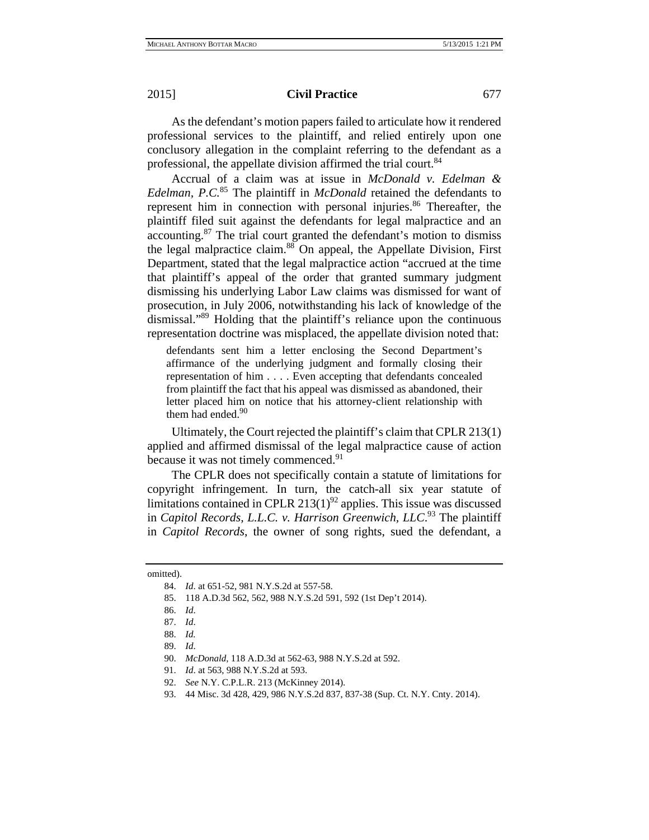As the defendant's motion papers failed to articulate how it rendered professional services to the plaintiff, and relied entirely upon one conclusory allegation in the complaint referring to the defendant as a professional, the appellate division affirmed the trial court.<sup>84</sup>

Accrual of a claim was at issue in *McDonald v. Edelman & Edelman, P.C.*85 The plaintiff in *McDonald* retained the defendants to represent him in connection with personal injuries.<sup>86</sup> Thereafter, the plaintiff filed suit against the defendants for legal malpractice and an accounting.87 The trial court granted the defendant's motion to dismiss the legal malpractice claim.<sup>88</sup> On appeal, the Appellate Division, First Department, stated that the legal malpractice action "accrued at the time that plaintiff's appeal of the order that granted summary judgment dismissing his underlying Labor Law claims was dismissed for want of prosecution, in July 2006, notwithstanding his lack of knowledge of the dismissal."89 Holding that the plaintiff's reliance upon the continuous representation doctrine was misplaced, the appellate division noted that:

defendants sent him a letter enclosing the Second Department's affirmance of the underlying judgment and formally closing their representation of him . . . . Even accepting that defendants concealed from plaintiff the fact that his appeal was dismissed as abandoned, their letter placed him on notice that his attorney-client relationship with them had ended. $90$ 

Ultimately, the Court rejected the plaintiff's claim that CPLR 213(1) applied and affirmed dismissal of the legal malpractice cause of action because it was not timely commenced.<sup>91</sup>

The CPLR does not specifically contain a statute of limitations for copyright infringement. In turn, the catch-all six year statute of limitations contained in CPLR  $213(1)^{92}$  applies. This issue was discussed in *Capitol Records, L.L.C. v. Harrison Greenwich, LLC*. 93 The plaintiff in *Capitol Records*, the owner of song rights, sued the defendant, a

omitted).

<sup>84.</sup> *Id*. at 651-52, 981 N.Y.S.2d at 557-58.

<sup>85. 118</sup> A.D.3d 562, 562, 988 N.Y.S.2d 591, 592 (1st Dep't 2014).

<sup>86.</sup> *Id*.

<sup>87.</sup> *Id*.

<sup>88.</sup> *Id.*

<sup>89.</sup> *Id*.

<sup>90.</sup> *McDonald*, 118 A.D.3d at 562-63, 988 N.Y.S.2d at 592.

<sup>91.</sup> *Id*. at 563, 988 N.Y.S.2d at 593.

<sup>92.</sup> *See* N.Y. C.P.L.R. 213 (McKinney 2014).

<sup>93. 44</sup> Misc. 3d 428, 429, 986 N.Y.S.2d 837, 837-38 (Sup. Ct. N.Y. Cnty. 2014).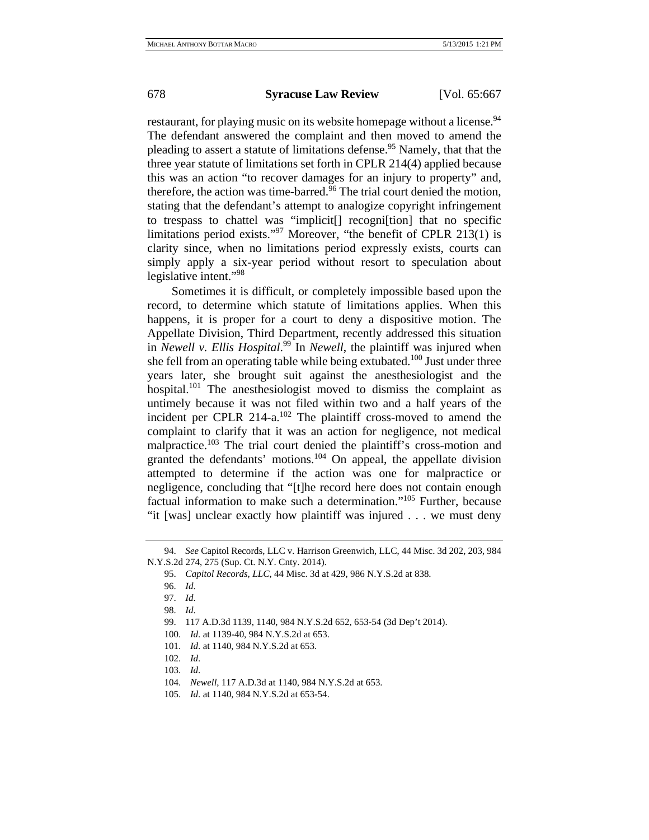restaurant, for playing music on its website homepage without a license.<sup>94</sup> The defendant answered the complaint and then moved to amend the pleading to assert a statute of limitations defense.<sup>95</sup> Namely, that that the three year statute of limitations set forth in CPLR 214(4) applied because this was an action "to recover damages for an injury to property" and, therefore, the action was time-barred.<sup>96</sup> The trial court denied the motion, stating that the defendant's attempt to analogize copyright infringement to trespass to chattel was "implicit[] recogni[tion] that no specific limitations period exists."<sup>97</sup> Moreover, "the benefit of CPLR 213(1) is clarity since, when no limitations period expressly exists, courts can simply apply a six-year period without resort to speculation about legislative intent."98

Sometimes it is difficult, or completely impossible based upon the record, to determine which statute of limitations applies. When this happens, it is proper for a court to deny a dispositive motion. The Appellate Division, Third Department, recently addressed this situation in *Newell v. Ellis Hospital*. 99 In *Newell*, the plaintiff was injured when she fell from an operating table while being extubated.<sup>100</sup> Just under three years later, she brought suit against the anesthesiologist and the hospital.<sup>101</sup> The anesthesiologist moved to dismiss the complaint as untimely because it was not filed within two and a half years of the incident per CPLR  $214-a$ .<sup>102</sup> The plaintiff cross-moved to amend the complaint to clarify that it was an action for negligence, not medical malpractice.<sup>103</sup> The trial court denied the plaintiff's cross-motion and granted the defendants' motions.<sup>104</sup> On appeal, the appellate division attempted to determine if the action was one for malpractice or negligence, concluding that "[t]he record here does not contain enough factual information to make such a determination."105 Further, because "it [was] unclear exactly how plaintiff was injured . . . we must deny

<sup>94.</sup> *See* Capitol Records, LLC v. Harrison Greenwich, LLC, 44 Misc. 3d 202, 203, 984 N.Y.S.2d 274, 275 (Sup. Ct. N.Y. Cnty. 2014).

<sup>95.</sup> *Capitol Records, LLC*, 44 Misc. 3d at 429, 986 N.Y.S.2d at 838.

<sup>96.</sup> *Id*.

<sup>97.</sup> *Id*.

<sup>98.</sup> *Id*.

<sup>99. 117</sup> A.D.3d 1139, 1140, 984 N.Y.S.2d 652, 653-54 (3d Dep't 2014).

<sup>100.</sup> *Id*. at 1139-40, 984 N.Y.S.2d at 653.

<sup>101.</sup> *Id*. at 1140, 984 N.Y.S.2d at 653.

<sup>102.</sup> *Id*.

<sup>103.</sup> *Id*.

<sup>104.</sup> *Newell*, 117 A.D.3d at 1140, 984 N.Y.S.2d at 653.

<sup>105.</sup> *Id*. at 1140, 984 N.Y.S.2d at 653-54.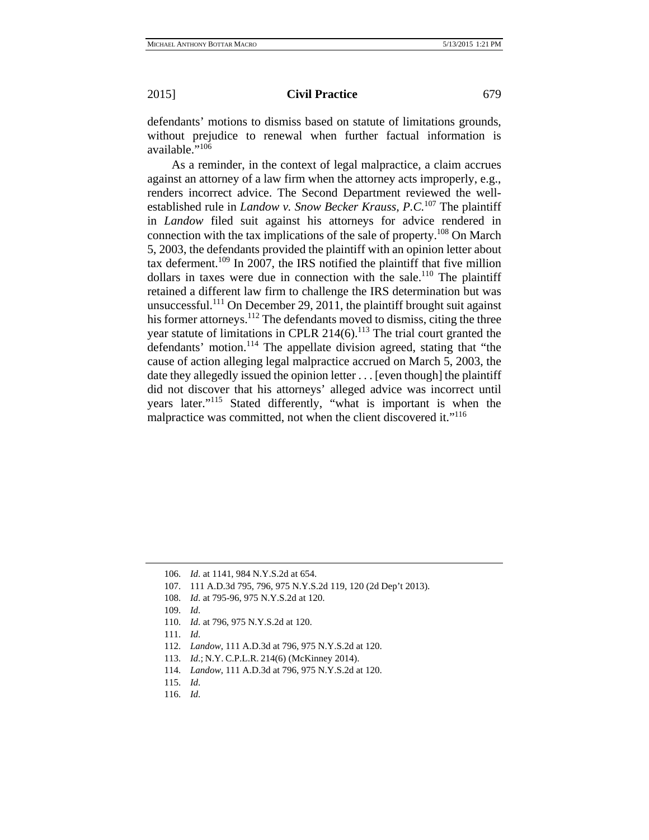defendants' motions to dismiss based on statute of limitations grounds, without prejudice to renewal when further factual information is available."<sup>106</sup>

As a reminder, in the context of legal malpractice, a claim accrues against an attorney of a law firm when the attorney acts improperly, e.g., renders incorrect advice. The Second Department reviewed the wellestablished rule in *Landow v. Snow Becker Krauss, P.C.*<sup>107</sup> The plaintiff in *Landow* filed suit against his attorneys for advice rendered in connection with the tax implications of the sale of property.108 On March 5, 2003, the defendants provided the plaintiff with an opinion letter about tax deferment.<sup>109</sup> In 2007, the IRS notified the plaintiff that five million dollars in taxes were due in connection with the sale.<sup>110</sup> The plaintiff retained a different law firm to challenge the IRS determination but was unsuccessful.<sup>111</sup> On December 29, 2011, the plaintiff brought suit against his former attorneys.<sup>112</sup> The defendants moved to dismiss, citing the three year statute of limitations in CPLR  $214(6)$ .<sup>113</sup> The trial court granted the defendants' motion.<sup>114</sup> The appellate division agreed, stating that "the cause of action alleging legal malpractice accrued on March 5, 2003, the date they allegedly issued the opinion letter . . . [even though] the plaintiff did not discover that his attorneys' alleged advice was incorrect until years later."115 Stated differently, "what is important is when the malpractice was committed, not when the client discovered it."<sup>116</sup>

- 110. *Id*. at 796, 975 N.Y.S.2d at 120.
- 111. *Id*.
- 112. *Landow*, 111 A.D.3d at 796, 975 N.Y.S.2d at 120.
- 113. *Id*.; N.Y. C.P.L.R. 214(6) (McKinney 2014).
- 114. *Landow*, 111 A.D.3d at 796, 975 N.Y.S.2d at 120.
- 115. *Id*.
- 116. *Id*.

<sup>106.</sup> *Id*. at 1141, 984 N.Y.S.2d at 654.

<sup>107. 111</sup> A.D.3d 795, 796, 975 N.Y.S.2d 119, 120 (2d Dep't 2013).

<sup>108.</sup> *Id*. at 795-96, 975 N.Y.S.2d at 120.

<sup>109.</sup> *Id*.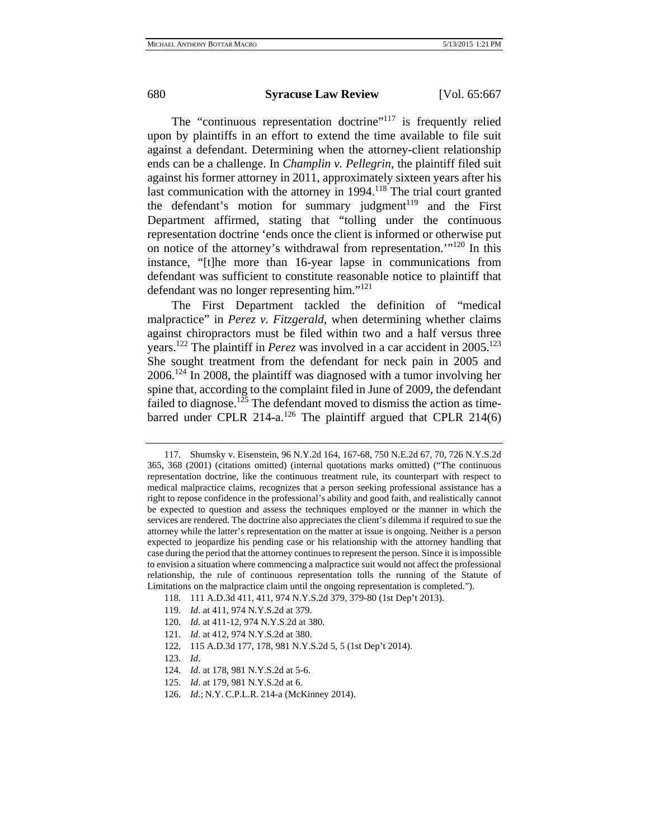The "continuous representation doctrine"<sup>117</sup> is frequently relied upon by plaintiffs in an effort to extend the time available to file suit against a defendant. Determining when the attorney-client relationship ends can be a challenge. In *Champlin v. Pellegrin*, the plaintiff filed suit against his former attorney in 2011, approximately sixteen years after his last communication with the attorney in  $1994$ .<sup>118</sup> The trial court granted the defendant's motion for summary judgment<sup>119</sup> and the First Department affirmed, stating that "tolling under the continuous representation doctrine 'ends once the client is informed or otherwise put on notice of the attorney's withdrawal from representation.'"120 In this instance, "[t]he more than 16-year lapse in communications from defendant was sufficient to constitute reasonable notice to plaintiff that defendant was no longer representing him."121

The First Department tackled the definition of "medical malpractice" in *Perez v. Fitzgerald*, when determining whether claims against chiropractors must be filed within two and a half versus three years.<sup>122</sup> The plaintiff in *Perez* was involved in a car accident in 2005.<sup>123</sup> She sought treatment from the defendant for neck pain in 2005 and 2006.124 In 2008, the plaintiff was diagnosed with a tumor involving her spine that, according to the complaint filed in June of 2009, the defendant failed to diagnose.<sup>125</sup> The defendant moved to dismiss the action as timebarred under CPLR 214-a.<sup>126</sup> The plaintiff argued that CPLR 214(6)

119. *Id*. at 411, 974 N.Y.S.2d at 379.

- 121. *Id*. at 412, 974 N.Y.S.2d at 380.
- 122. 115 A.D.3d 177, 178, 981 N.Y.S.2d 5, 5 (1st Dep't 2014).
- 123. *Id*.
- 124. *Id*. at 178, 981 N.Y.S.2d at 5-6.
- 125. *Id*. at 179, 981 N.Y.S.2d at 6.
- 126. *Id*.; N.Y. C.P.L.R. 214-a (McKinney 2014).

<sup>117.</sup> Shumsky v. Eisenstein, 96 N.Y.2d 164, 167-68, 750 N.E.2d 67, 70, 726 N.Y.S.2d 365, 368 (2001) (citations omitted) (internal quotations marks omitted) ("The continuous representation doctrine, like the continuous treatment rule, its counterpart with respect to medical malpractice claims, recognizes that a person seeking professional assistance has a right to repose confidence in the professional's ability and good faith, and realistically cannot be expected to question and assess the techniques employed or the manner in which the services are rendered. The doctrine also appreciates the client's dilemma if required to sue the attorney while the latter's representation on the matter at issue is ongoing. Neither is a person expected to jeopardize his pending case or his relationship with the attorney handling that case during the period that the attorney continues to represent the person. Since it is impossible to envision a situation where commencing a malpractice suit would not affect the professional relationship, the rule of continuous representation tolls the running of the Statute of Limitations on the malpractice claim until the ongoing representation is completed.").

<sup>118. 111</sup> A.D.3d 411, 411, 974 N.Y.S.2d 379, 379-80 (1st Dep't 2013).

<sup>120.</sup> *Id*. at 411-12, 974 N.Y.S.2d at 380.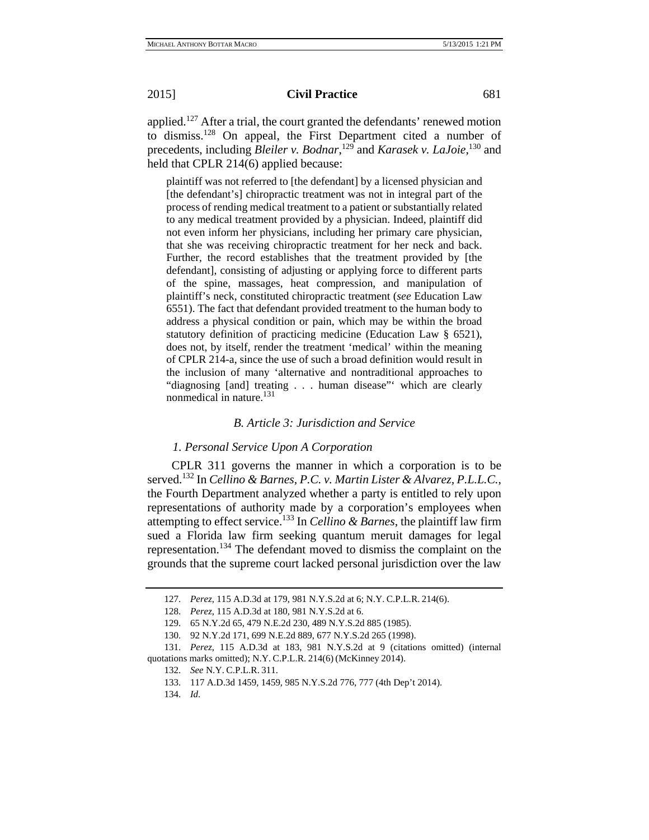applied.<sup>127</sup> After a trial, the court granted the defendants' renewed motion to dismiss.128 On appeal, the First Department cited a number of precedents, including *Bleiler v. Bodnar*,<sup>129</sup> and *Karasek v. LaJoie*,<sup>130</sup> and held that CPLR 214(6) applied because:

plaintiff was not referred to [the defendant] by a licensed physician and [the defendant's] chiropractic treatment was not in integral part of the process of rending medical treatment to a patient or substantially related to any medical treatment provided by a physician. Indeed, plaintiff did not even inform her physicians, including her primary care physician, that she was receiving chiropractic treatment for her neck and back. Further, the record establishes that the treatment provided by [the defendant], consisting of adjusting or applying force to different parts of the spine, massages, heat compression, and manipulation of plaintiff's neck, constituted chiropractic treatment (*see* Education Law 6551). The fact that defendant provided treatment to the human body to address a physical condition or pain, which may be within the broad statutory definition of practicing medicine (Education Law § 6521), does not, by itself, render the treatment 'medical' within the meaning of CPLR 214-a, since the use of such a broad definition would result in the inclusion of many 'alternative and nontraditional approaches to "diagnosing [and] treating . . . human disease"' which are clearly nonmedical in nature.<sup>131</sup>

## *B. Article 3: Jurisdiction and Service*

#### *1. Personal Service Upon A Corporation*

CPLR 311 governs the manner in which a corporation is to be served.132 In *Cellino & Barnes, P.C. v. Martin Lister & Alvarez, P.L.L.C.*, the Fourth Department analyzed whether a party is entitled to rely upon representations of authority made by a corporation's employees when attempting to effect service.133 In *Cellino & Barnes*, the plaintiff law firm sued a Florida law firm seeking quantum meruit damages for legal representation.134 The defendant moved to dismiss the complaint on the grounds that the supreme court lacked personal jurisdiction over the law

<sup>127.</sup> *Perez*, 115 A.D.3d at 179, 981 N.Y.S.2d at 6; N.Y. C.P.L.R. 214(6).

<sup>128.</sup> *Perez*, 115 A.D.3d at 180, 981 N.Y.S.2d at 6.

<sup>129. 65</sup> N.Y.2d 65, 479 N.E.2d 230, 489 N.Y.S.2d 885 (1985).

<sup>130. 92</sup> N.Y.2d 171, 699 N.E.2d 889, 677 N.Y.S.2d 265 (1998).

<sup>131.</sup> *Perez*, 115 A.D.3d at 183, 981 N.Y.S.2d at 9 (citations omitted) (internal quotations marks omitted); N.Y. C.P.L.R. 214(6) (McKinney 2014).

<sup>132.</sup> *See* N.Y. C.P.L.R. 311.

<sup>133. 117</sup> A.D.3d 1459, 1459, 985 N.Y.S.2d 776, 777 (4th Dep't 2014).

<sup>134.</sup> *Id*.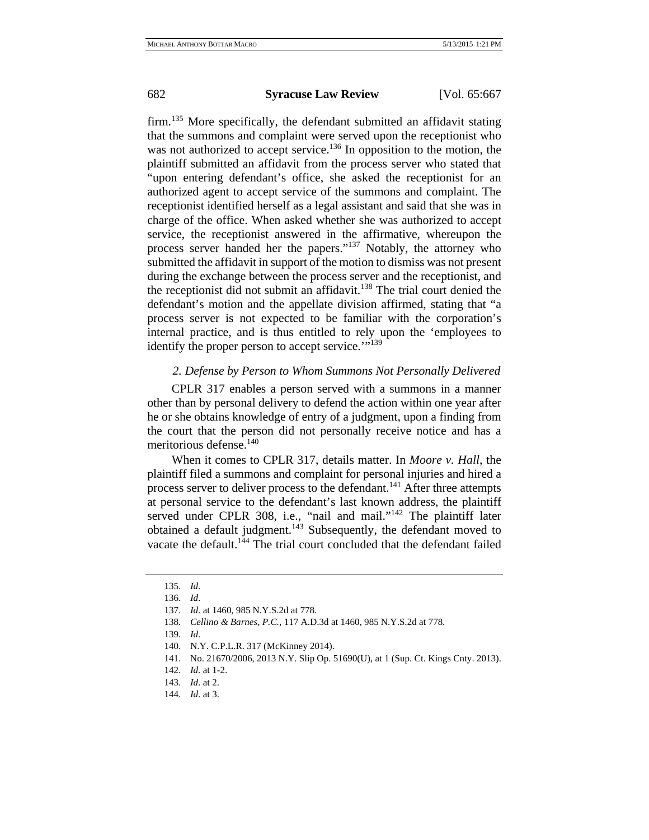firm.<sup>135</sup> More specifically, the defendant submitted an affidavit stating that the summons and complaint were served upon the receptionist who was not authorized to accept service.<sup>136</sup> In opposition to the motion, the plaintiff submitted an affidavit from the process server who stated that "upon entering defendant's office, she asked the receptionist for an authorized agent to accept service of the summons and complaint. The receptionist identified herself as a legal assistant and said that she was in charge of the office. When asked whether she was authorized to accept service, the receptionist answered in the affirmative, whereupon the process server handed her the papers."137 Notably, the attorney who submitted the affidavit in support of the motion to dismiss was not present during the exchange between the process server and the receptionist, and the receptionist did not submit an affidavit.<sup>138</sup> The trial court denied the defendant's motion and the appellate division affirmed, stating that "a process server is not expected to be familiar with the corporation's internal practice, and is thus entitled to rely upon the 'employees to identify the proper person to accept service."<sup>139</sup>

# *2. Defense by Person to Whom Summons Not Personally Delivered*

CPLR 317 enables a person served with a summons in a manner other than by personal delivery to defend the action within one year after he or she obtains knowledge of entry of a judgment, upon a finding from the court that the person did not personally receive notice and has a meritorious defense.140

When it comes to CPLR 317, details matter. In *Moore v. Hall*, the plaintiff filed a summons and complaint for personal injuries and hired a process server to deliver process to the defendant.<sup>141</sup> After three attempts at personal service to the defendant's last known address, the plaintiff served under CPLR 308, i.e., "nail and mail."<sup>142</sup> The plaintiff later obtained a default judgment.<sup>143</sup> Subsequently, the defendant moved to vacate the default.<sup>144</sup> The trial court concluded that the defendant failed

<sup>135.</sup> *Id*.

<sup>136.</sup> *Id*.

<sup>137.</sup> *Id*. at 1460, 985 N.Y.S.2d at 778.

<sup>138.</sup> *Cellino & Barnes, P.C.*, 117 A.D.3d at 1460, 985 N.Y.S.2d at 778.

<sup>139.</sup> *Id*.

<sup>140.</sup> N.Y. C.P.L.R. 317 (McKinney 2014).

<sup>141.</sup> No. 21670/2006, 2013 N.Y. Slip Op. 51690(U), at 1 (Sup. Ct. Kings Cnty. 2013).

<sup>142.</sup> *Id*. at 1-2.

<sup>143.</sup> *Id*. at 2.

<sup>144.</sup> *Id*. at 3.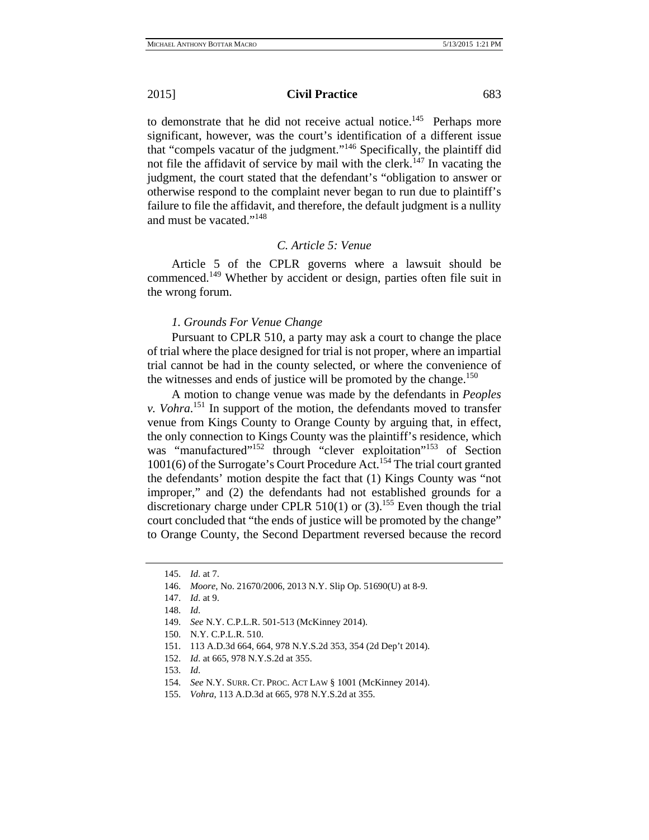to demonstrate that he did not receive actual notice.<sup>145</sup> Perhaps more significant, however, was the court's identification of a different issue that "compels vacatur of the judgment."146 Specifically, the plaintiff did not file the affidavit of service by mail with the clerk.<sup>147</sup> In vacating the judgment, the court stated that the defendant's "obligation to answer or otherwise respond to the complaint never began to run due to plaintiff's failure to file the affidavit, and therefore, the default judgment is a nullity and must be vacated."148

#### *C. Article 5: Venue*

Article 5 of the CPLR governs where a lawsuit should be commenced.149 Whether by accident or design, parties often file suit in the wrong forum.

# *1. Grounds For Venue Change*

Pursuant to CPLR 510, a party may ask a court to change the place of trial where the place designed for trial is not proper, where an impartial trial cannot be had in the county selected, or where the convenience of the witnesses and ends of justice will be promoted by the change.<sup>150</sup>

A motion to change venue was made by the defendants in *Peoples v. Vohra*. 151 In support of the motion, the defendants moved to transfer venue from Kings County to Orange County by arguing that, in effect, the only connection to Kings County was the plaintiff's residence, which was "manufactured"<sup>152</sup> through "clever exploitation"<sup>153</sup> of Section 1001(6) of the Surrogate's Court Procedure Act.154 The trial court granted the defendants' motion despite the fact that (1) Kings County was "not improper," and (2) the defendants had not established grounds for a discretionary charge under CPLR 510(1) or  $(3)$ .<sup>155</sup> Even though the trial court concluded that "the ends of justice will be promoted by the change" to Orange County, the Second Department reversed because the record

<sup>145.</sup> *Id*. at 7.

<sup>146.</sup> *Moore*, No. 21670/2006, 2013 N.Y. Slip Op. 51690(U) at 8-9.

<sup>147.</sup> *Id*. at 9.

<sup>148.</sup> *Id*.

<sup>149.</sup> *See* N.Y. C.P.L.R. 501-513 (McKinney 2014).

<sup>150.</sup> N.Y. C.P.L.R. 510.

<sup>151. 113</sup> A.D.3d 664, 664, 978 N.Y.S.2d 353, 354 (2d Dep't 2014).

<sup>152.</sup> *Id*. at 665, 978 N.Y.S.2d at 355.

<sup>153.</sup> *Id*.

<sup>154.</sup> *See* N.Y. SURR. CT. PROC. ACT LAW § 1001 (McKinney 2014).

<sup>155.</sup> *Vohra*, 113 A.D.3d at 665, 978 N.Y.S.2d at 355.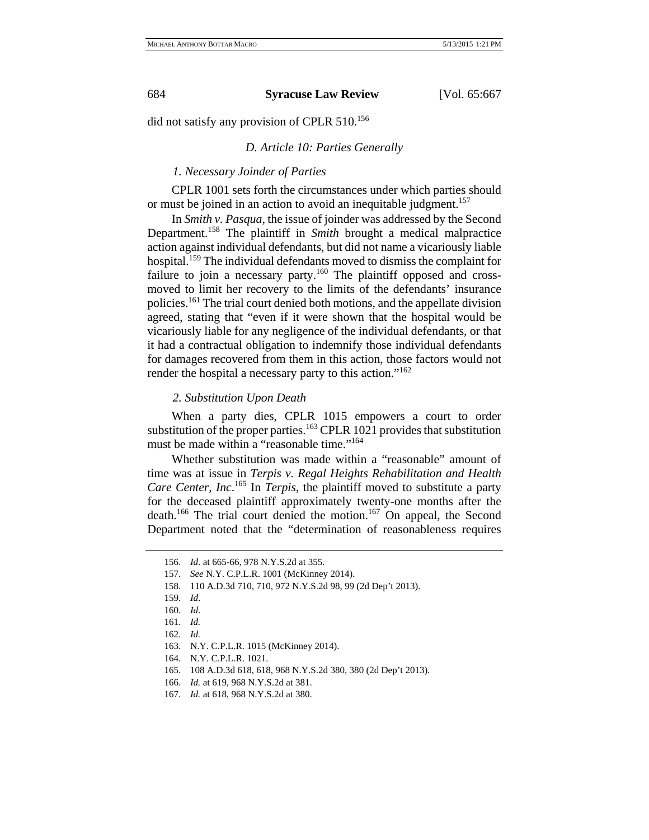did not satisfy any provision of CPLR 510.156

# *D. Article 10: Parties Generally*

# *1. Necessary Joinder of Parties*

CPLR 1001 sets forth the circumstances under which parties should or must be joined in an action to avoid an inequitable judgment.<sup>157</sup>

In *Smith v. Pasqua*, the issue of joinder was addressed by the Second Department.158 The plaintiff in *Smith* brought a medical malpractice action against individual defendants, but did not name a vicariously liable hospital.<sup>159</sup> The individual defendants moved to dismiss the complaint for failure to join a necessary party.<sup>160</sup> The plaintiff opposed and crossmoved to limit her recovery to the limits of the defendants' insurance policies.161 The trial court denied both motions, and the appellate division agreed, stating that "even if it were shown that the hospital would be vicariously liable for any negligence of the individual defendants, or that it had a contractual obligation to indemnify those individual defendants for damages recovered from them in this action, those factors would not render the hospital a necessary party to this action."<sup>162</sup>

#### *2. Substitution Upon Death*

When a party dies, CPLR 1015 empowers a court to order substitution of the proper parties.<sup>163</sup> CPLR 1021 provides that substitution must be made within a "reasonable time."<sup>164</sup>

Whether substitution was made within a "reasonable" amount of time was at issue in *Terpis v. Regal Heights Rehabilitation and Health Care Center, Inc*. 165 In *Terpis*, the plaintiff moved to substitute a party for the deceased plaintiff approximately twenty-one months after the death.166 The trial court denied the motion.167 On appeal, the Second Department noted that the "determination of reasonableness requires

158. 110 A.D.3d 710, 710, 972 N.Y.S.2d 98, 99 (2d Dep't 2013).

<sup>156.</sup> *Id*. at 665-66, 978 N.Y.S.2d at 355.

<sup>157.</sup> *See* N.Y. C.P.L.R. 1001 (McKinney 2014).

<sup>159.</sup> *Id*.

<sup>160.</sup> *Id*.

<sup>161.</sup> *Id.*

<sup>162.</sup> *Id.*

<sup>163.</sup> N.Y. C.P.L.R. 1015 (McKinney 2014).

<sup>164.</sup> N.Y. C.P.L.R. 1021.

<sup>165. 108</sup> A.D.3d 618, 618, 968 N.Y.S.2d 380, 380 (2d Dep't 2013).

<sup>166.</sup> *Id.* at 619, 968 N.Y.S.2d at 381.

<sup>167.</sup> *Id.* at 618, 968 N.Y.S.2d at 380.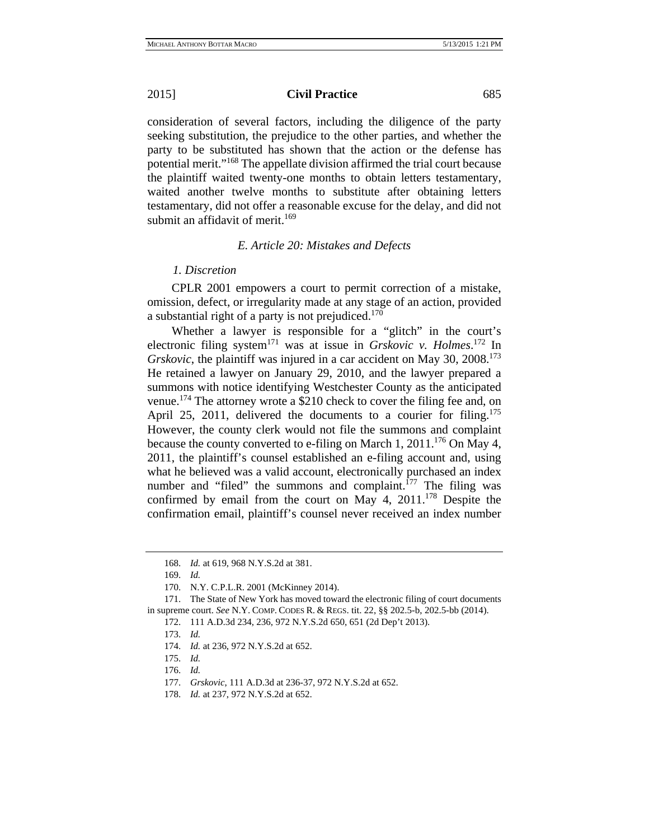consideration of several factors, including the diligence of the party seeking substitution, the prejudice to the other parties, and whether the party to be substituted has shown that the action or the defense has potential merit."168 The appellate division affirmed the trial court because the plaintiff waited twenty-one months to obtain letters testamentary, waited another twelve months to substitute after obtaining letters testamentary, did not offer a reasonable excuse for the delay, and did not submit an affidavit of merit.<sup>169</sup>

### *E. Article 20: Mistakes and Defects*

### *1. Discretion*

CPLR 2001 empowers a court to permit correction of a mistake, omission, defect, or irregularity made at any stage of an action, provided a substantial right of a party is not prejudiced.<sup>170</sup>

Whether a lawyer is responsible for a "glitch" in the court's electronic filing system<sup>171</sup> was at issue in *Grskovic v. Holmes*.<sup>172</sup> In *Grskovic*, the plaintiff was injured in a car accident on May 30, 2008.<sup>173</sup> He retained a lawyer on January 29, 2010, and the lawyer prepared a summons with notice identifying Westchester County as the anticipated venue.<sup>174</sup> The attorney wrote a \$210 check to cover the filing fee and, on April 25, 2011, delivered the documents to a courier for filing.<sup>175</sup> However, the county clerk would not file the summons and complaint because the county converted to e-filing on March 1, 2011.<sup>176</sup> On May 4, 2011, the plaintiff's counsel established an e-filing account and, using what he believed was a valid account, electronically purchased an index number and "filed" the summons and complaint.<sup>177</sup> The filing was confirmed by email from the court on May 4,  $2011$ <sup> $178$ </sup> Despite the confirmation email, plaintiff's counsel never received an index number

- 174. *Id.* at 236, 972 N.Y.S.2d at 652.
- 175. *Id.*
- 176. *Id.*
- 177. *Grskovic*, 111 A.D.3d at 236-37, 972 N.Y.S.2d at 652.

<sup>168.</sup> *Id.* at 619, 968 N.Y.S.2d at 381.

<sup>169.</sup> *Id.*

<sup>170.</sup> N.Y. C.P.L.R. 2001 (McKinney 2014).

<sup>171.</sup> The State of New York has moved toward the electronic filing of court documents in supreme court. *See* N.Y. COMP. CODES R. & REGS. tit. 22, §§ 202.5-b, 202.5-bb (2014).

<sup>172. 111</sup> A.D.3d 234, 236, 972 N.Y.S.2d 650, 651 (2d Dep't 2013).

<sup>173.</sup> *Id.*

<sup>178.</sup> *Id.* at 237, 972 N.Y.S.2d at 652.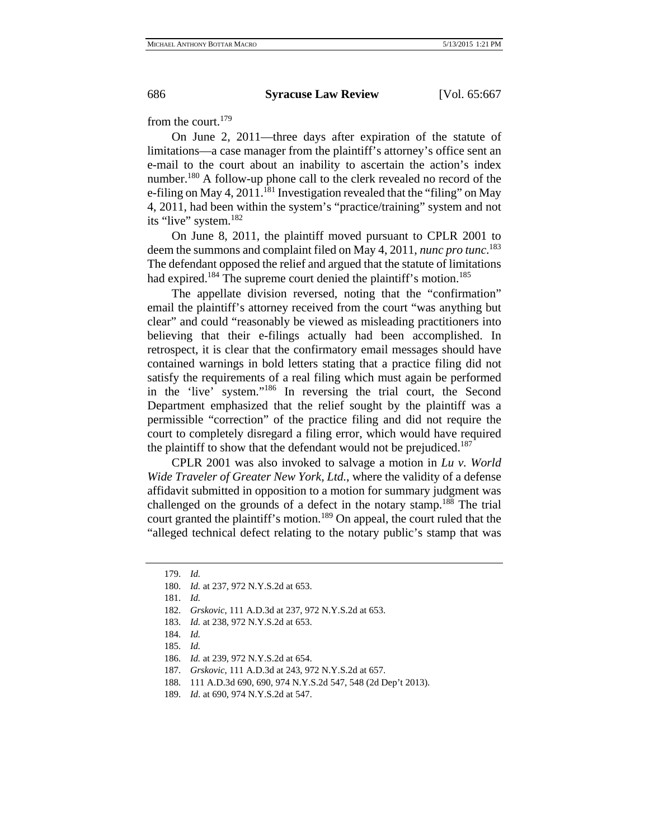from the court.<sup>179</sup>

On June 2, 2011—three days after expiration of the statute of limitations—a case manager from the plaintiff's attorney's office sent an e-mail to the court about an inability to ascertain the action's index number.<sup>180</sup> A follow-up phone call to the clerk revealed no record of the e-filing on May 4, 2011.<sup>181</sup> Investigation revealed that the "filing" on May 4, 2011, had been within the system's "practice/training" system and not its "live" system.<sup>182</sup>

On June 8, 2011, the plaintiff moved pursuant to CPLR 2001 to deem the summons and complaint filed on May 4, 2011, *nunc pro tunc*. 183 The defendant opposed the relief and argued that the statute of limitations had expired.<sup>184</sup> The supreme court denied the plaintiff's motion.<sup>185</sup>

The appellate division reversed, noting that the "confirmation" email the plaintiff's attorney received from the court "was anything but clear" and could "reasonably be viewed as misleading practitioners into believing that their e-filings actually had been accomplished. In retrospect, it is clear that the confirmatory email messages should have contained warnings in bold letters stating that a practice filing did not satisfy the requirements of a real filing which must again be performed in the 'live' system."186 In reversing the trial court, the Second Department emphasized that the relief sought by the plaintiff was a permissible "correction" of the practice filing and did not require the court to completely disregard a filing error, which would have required the plaintiff to show that the defendant would not be prejudiced.<sup>187</sup>

CPLR 2001 was also invoked to salvage a motion in *Lu v. World Wide Traveler of Greater New York, Ltd.*, where the validity of a defense affidavit submitted in opposition to a motion for summary judgment was challenged on the grounds of a defect in the notary stamp.<sup>188</sup> The trial court granted the plaintiff's motion.<sup>189</sup> On appeal, the court ruled that the "alleged technical defect relating to the notary public's stamp that was

<sup>179.</sup> *Id.*

<sup>180.</sup> *Id.* at 237, 972 N.Y.S.2d at 653.

<sup>181.</sup> *Id.*

<sup>182.</sup> *Grskovic*, 111 A.D.3d at 237, 972 N.Y.S.2d at 653.

<sup>183.</sup> *Id.* at 238, 972 N.Y.S.2d at 653.

<sup>184.</sup> *Id.*

<sup>185.</sup> *Id.*

<sup>186.</sup> *Id.* at 239, 972 N.Y.S.2d at 654.

<sup>187.</sup> *Grskovic*, 111 A.D.3d at 243, 972 N.Y.S.2d at 657.

<sup>188. 111</sup> A.D.3d 690, 690, 974 N.Y.S.2d 547, 548 (2d Dep't 2013).

<sup>189.</sup> *Id*. at 690, 974 N.Y.S.2d at 547.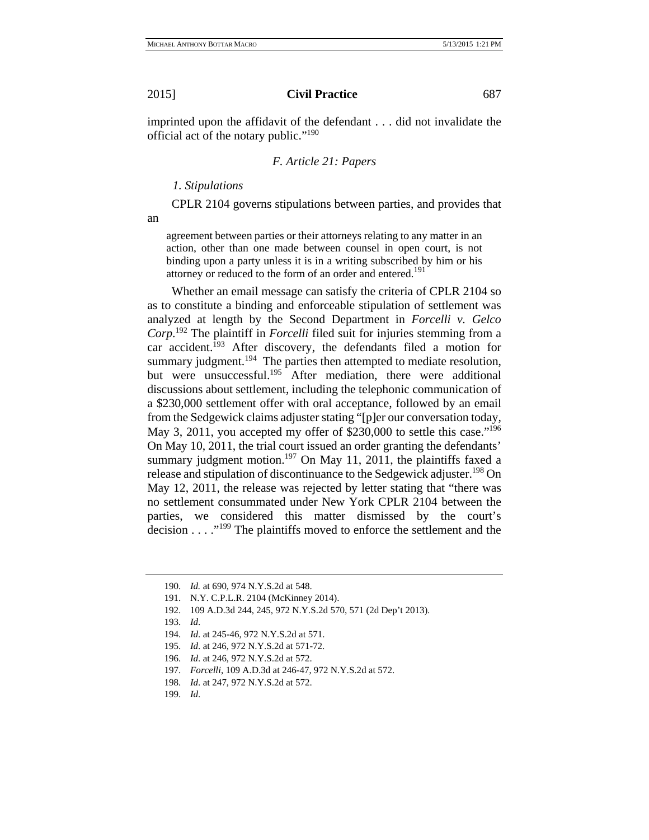imprinted upon the affidavit of the defendant . . . did not invalidate the official act of the notary public."190

#### *F. Article 21: Papers*

 *1. Stipulations* 

CPLR 2104 governs stipulations between parties, and provides that

an

agreement between parties or their attorneys relating to any matter in an action, other than one made between counsel in open court, is not binding upon a party unless it is in a writing subscribed by him or his attorney or reduced to the form of an order and entered.<sup>191</sup>

Whether an email message can satisfy the criteria of CPLR 2104 so as to constitute a binding and enforceable stipulation of settlement was analyzed at length by the Second Department in *Forcelli v. Gelco Corp*. 192 The plaintiff in *Forcelli* filed suit for injuries stemming from a car accident.<sup>193</sup> After discovery, the defendants filed a motion for summary judgment.<sup>194</sup> The parties then attempted to mediate resolution, but were unsuccessful.<sup>195</sup> After mediation, there were additional discussions about settlement, including the telephonic communication of a \$230,000 settlement offer with oral acceptance, followed by an email from the Sedgewick claims adjuster stating "[p]er our conversation today, May 3, 2011, you accepted my offer of \$230,000 to settle this case."196 On May 10, 2011, the trial court issued an order granting the defendants' summary judgment motion.<sup>197</sup> On May 11, 2011, the plaintiffs faxed a release and stipulation of discontinuance to the Sedgewick adjuster.<sup>198</sup> On May 12, 2011, the release was rejected by letter stating that "there was no settlement consummated under New York CPLR 2104 between the parties, we considered this matter dismissed by the court's decision . . . ."<sup>199</sup> The plaintiffs moved to enforce the settlement and the

<sup>190.</sup> *Id.* at 690, 974 N.Y.S.2d at 548.

<sup>191.</sup> N.Y. C.P.L.R. 2104 (McKinney 2014).

<sup>192. 109</sup> A.D.3d 244, 245, 972 N.Y.S.2d 570, 571 (2d Dep't 2013).

<sup>193.</sup> *Id*.

<sup>194.</sup> *Id*. at 245-46, 972 N.Y.S.2d at 571.

<sup>195.</sup> *Id*. at 246, 972 N.Y.S.2d at 571-72.

<sup>196.</sup> *Id*. at 246, 972 N.Y.S.2d at 572.

<sup>197.</sup> *Forcelli*, 109 A.D.3d at 246-47, 972 N.Y.S.2d at 572.

<sup>198.</sup> *Id*. at 247, 972 N.Y.S.2d at 572.

<sup>199.</sup> *Id*.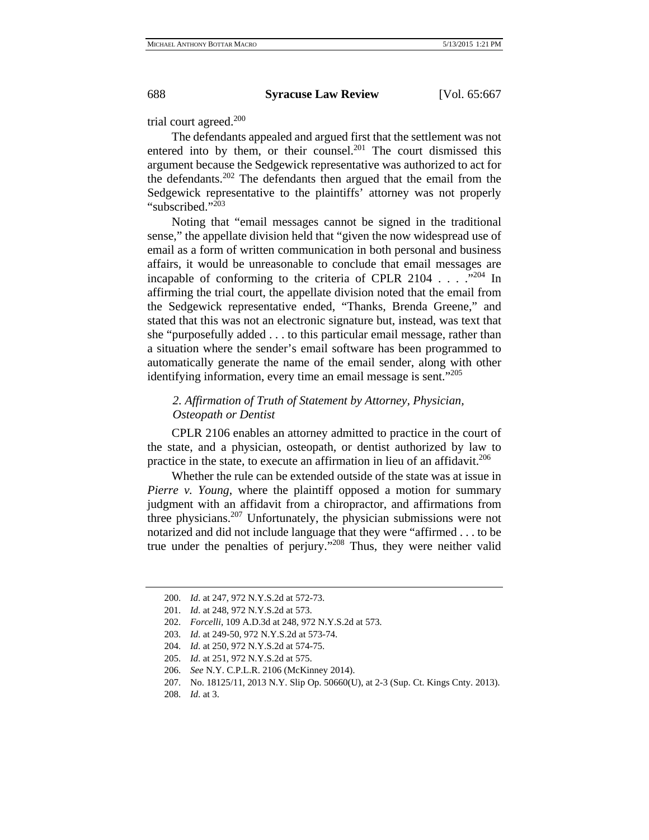trial court agreed.<sup>200</sup>

The defendants appealed and argued first that the settlement was not entered into by them, or their counsel.<sup>201</sup> The court dismissed this argument because the Sedgewick representative was authorized to act for the defendants.<sup>202</sup> The defendants then argued that the email from the Sedgewick representative to the plaintiffs' attorney was not properly "subscribed."<sup>203</sup>

Noting that "email messages cannot be signed in the traditional sense," the appellate division held that "given the now widespread use of email as a form of written communication in both personal and business affairs, it would be unreasonable to conclude that email messages are incapable of conforming to the criteria of CPLR 2104  $\ldots$  ."204 In affirming the trial court, the appellate division noted that the email from the Sedgewick representative ended, "Thanks, Brenda Greene," and stated that this was not an electronic signature but, instead, was text that she "purposefully added . . . to this particular email message, rather than a situation where the sender's email software has been programmed to automatically generate the name of the email sender, along with other identifying information, every time an email message is sent."<sup>205</sup>

# *2. Affirmation of Truth of Statement by Attorney, Physician, Osteopath or Dentist*

CPLR 2106 enables an attorney admitted to practice in the court of the state, and a physician, osteopath, or dentist authorized by law to practice in the state, to execute an affirmation in lieu of an affidavit.<sup>206</sup>

Whether the rule can be extended outside of the state was at issue in *Pierre v. Young*, where the plaintiff opposed a motion for summary judgment with an affidavit from a chiropractor, and affirmations from three physicians.207 Unfortunately, the physician submissions were not notarized and did not include language that they were "affirmed . . . to be true under the penalties of perjury."208 Thus, they were neither valid

<sup>200.</sup> *Id*. at 247, 972 N.Y.S.2d at 572-73.

<sup>201.</sup> *Id*. at 248, 972 N.Y.S.2d at 573.

<sup>202.</sup> *Forcelli*, 109 A.D.3d at 248, 972 N.Y.S.2d at 573.

<sup>203.</sup> *Id*. at 249-50, 972 N.Y.S.2d at 573-74.

<sup>204.</sup> *Id*. at 250, 972 N.Y.S.2d at 574-75.

<sup>205.</sup> *Id*. at 251, 972 N.Y.S.2d at 575.

<sup>206.</sup> *See* N.Y. C.P.L.R. 2106 (McKinney 2014).

<sup>207.</sup> No. 18125/11, 2013 N.Y. Slip Op. 50660(U), at 2-3 (Sup. Ct. Kings Cnty. 2013).

<sup>208.</sup> *Id*. at 3.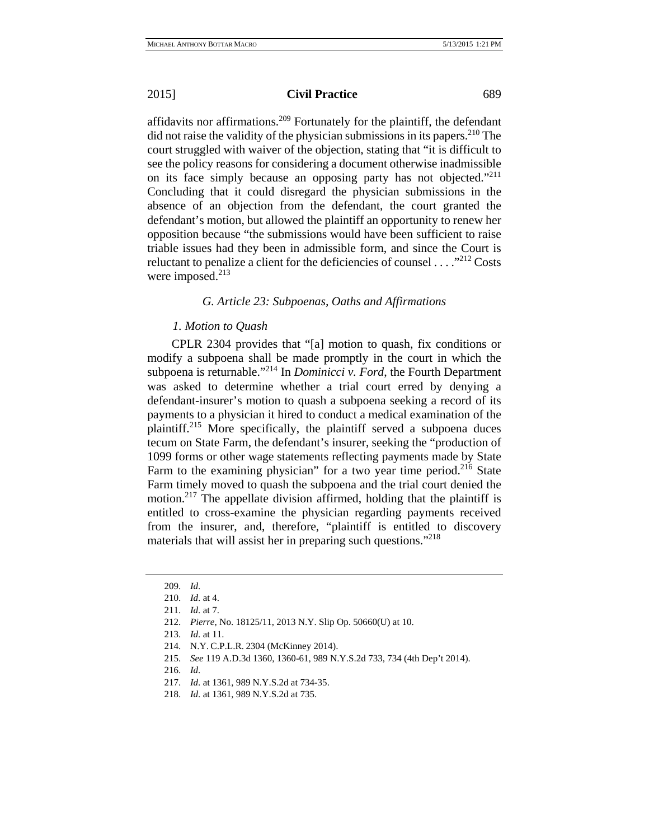affidavits nor affirmations.<sup>209</sup> Fortunately for the plaintiff, the defendant did not raise the validity of the physician submissions in its papers.<sup>210</sup> The court struggled with waiver of the objection, stating that "it is difficult to see the policy reasons for considering a document otherwise inadmissible on its face simply because an opposing party has not objected."<sup>211</sup> Concluding that it could disregard the physician submissions in the absence of an objection from the defendant, the court granted the defendant's motion, but allowed the plaintiff an opportunity to renew her opposition because "the submissions would have been sufficient to raise triable issues had they been in admissible form, and since the Court is reluctant to penalize a client for the deficiencies of counsel  $\dots$ <sup>212</sup> Costs were imposed. $213$ 

### *G. Article 23: Subpoenas, Oaths and Affirmations*

# *1. Motion to Quash*

CPLR 2304 provides that "[a] motion to quash, fix conditions or modify a subpoena shall be made promptly in the court in which the subpoena is returnable."214 In *Dominicci v. Ford*, the Fourth Department was asked to determine whether a trial court erred by denying a defendant-insurer's motion to quash a subpoena seeking a record of its payments to a physician it hired to conduct a medical examination of the plaintiff.215 More specifically, the plaintiff served a subpoena duces tecum on State Farm, the defendant's insurer, seeking the "production of 1099 forms or other wage statements reflecting payments made by State Farm to the examining physician" for a two year time period.<sup>216</sup> State Farm timely moved to quash the subpoena and the trial court denied the motion.<sup>217</sup> The appellate division affirmed, holding that the plaintiff is entitled to cross-examine the physician regarding payments received from the insurer, and, therefore, "plaintiff is entitled to discovery materials that will assist her in preparing such questions."<sup>218</sup>

215. *See* 119 A.D.3d 1360, 1360-61, 989 N.Y.S.2d 733, 734 (4th Dep't 2014).

- 217. *Id*. at 1361, 989 N.Y.S.2d at 734-35.
- 218. *Id*. at 1361, 989 N.Y.S.2d at 735.

<sup>209.</sup> *Id*.

<sup>210.</sup> *Id*. at 4.

<sup>211.</sup> *Id*. at 7.

<sup>212.</sup> *Pierre*, No. 18125/11, 2013 N.Y. Slip Op. 50660(U) at 10.

<sup>213.</sup> *Id*. at 11.

<sup>214.</sup> N.Y. C.P.L.R. 2304 (McKinney 2014).

<sup>216.</sup> *Id*.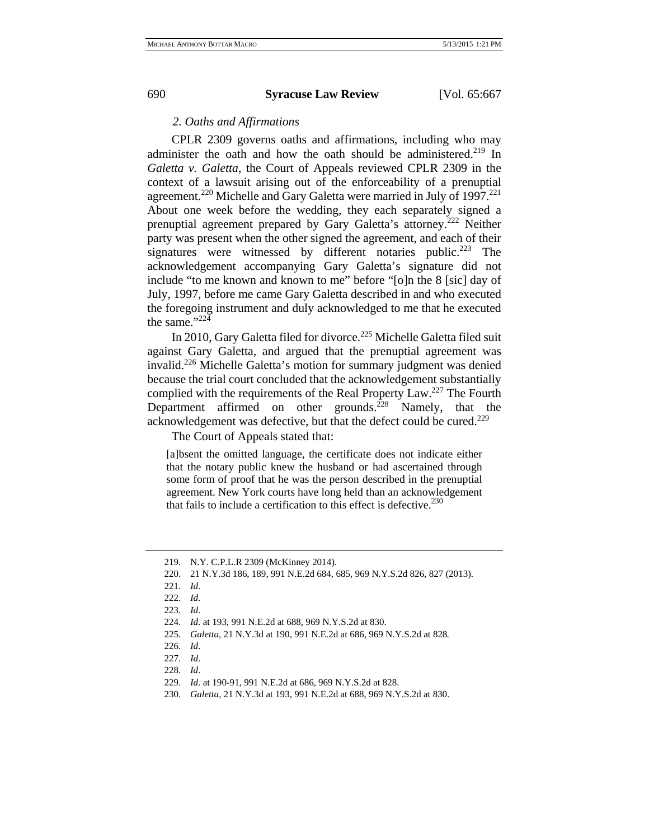# *2. Oaths and Affirmations*

CPLR 2309 governs oaths and affirmations, including who may administer the oath and how the oath should be administered.<sup>219</sup> In *Galetta v. Galetta*, the Court of Appeals reviewed CPLR 2309 in the context of a lawsuit arising out of the enforceability of a prenuptial agreement.<sup>220</sup> Michelle and Gary Galetta were married in July of 1997.<sup>221</sup> About one week before the wedding, they each separately signed a prenuptial agreement prepared by Gary Galetta's attorney.222 Neither party was present when the other signed the agreement, and each of their signatures were witnessed by different notaries public.<sup>223</sup> The acknowledgement accompanying Gary Galetta's signature did not include "to me known and known to me" before "[o]n the 8 [sic] day of July, 1997, before me came Gary Galetta described in and who executed the foregoing instrument and duly acknowledged to me that he executed the same."224

In 2010, Gary Galetta filed for divorce.<sup>225</sup> Michelle Galetta filed suit against Gary Galetta, and argued that the prenuptial agreement was invalid.<sup>226</sup> Michelle Galetta's motion for summary judgment was denied because the trial court concluded that the acknowledgement substantially complied with the requirements of the Real Property Law.<sup>227</sup> The Fourth Department affirmed on other grounds.<sup>228</sup> Namely, that the acknowledgement was defective, but that the defect could be cured.<sup>229</sup>

The Court of Appeals stated that:

[a]bsent the omitted language, the certificate does not indicate either that the notary public knew the husband or had ascertained through some form of proof that he was the person described in the prenuptial agreement. New York courts have long held than an acknowledgement that fails to include a certification to this effect is defective.  $230$ 

<sup>219.</sup> N.Y. C.P.L.R 2309 (McKinney 2014).

<sup>220. 21</sup> N.Y.3d 186, 189, 991 N.E.2d 684, 685, 969 N.Y.S.2d 826, 827 (2013).

<sup>221.</sup> *Id*.

<sup>222.</sup> *Id*.

<sup>223.</sup> *Id*.

<sup>224.</sup> *Id*. at 193, 991 N.E.2d at 688, 969 N.Y.S.2d at 830.

<sup>225.</sup> *Galetta*, 21 N.Y.3d at 190, 991 N.E.2d at 686, 969 N.Y.S.2d at 828*.*

<sup>226.</sup> *Id*.

<sup>227.</sup> *Id*.

<sup>228.</sup> *Id*.

<sup>229.</sup> *Id*. at 190-91, 991 N.E.2d at 686, 969 N.Y.S.2d at 828.

<sup>230.</sup> *Galetta*, 21 N.Y.3d at 193, 991 N.E.2d at 688, 969 N.Y.S.2d at 830.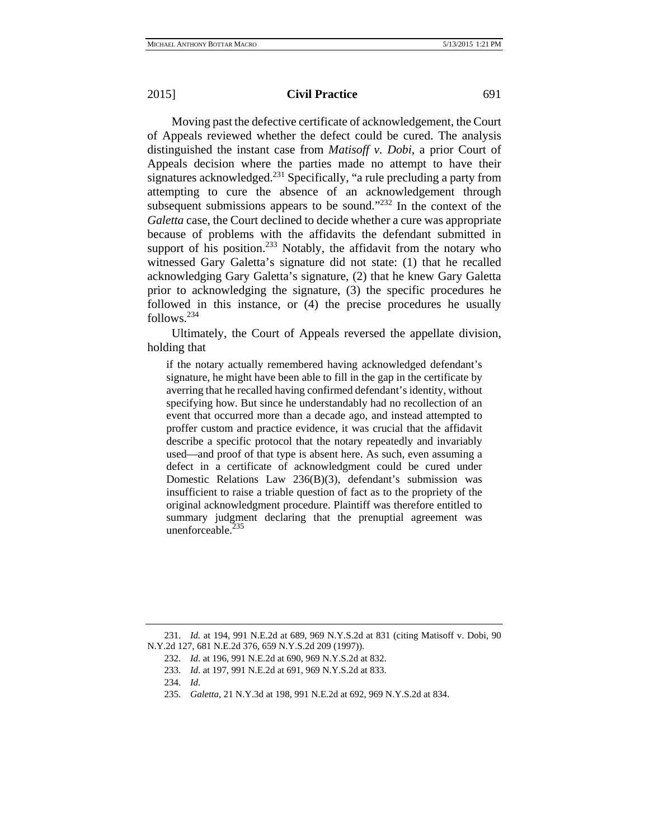Moving past the defective certificate of acknowledgement, the Court of Appeals reviewed whether the defect could be cured. The analysis distinguished the instant case from *Matisoff v. Dobi*, a prior Court of Appeals decision where the parties made no attempt to have their signatures acknowledged. $^{231}$  Specifically, "a rule precluding a party from attempting to cure the absence of an acknowledgement through subsequent submissions appears to be sound."<sup>232</sup> In the context of the *Galetta* case, the Court declined to decide whether a cure was appropriate because of problems with the affidavits the defendant submitted in support of his position.<sup>233</sup> Notably, the affidavit from the notary who witnessed Gary Galetta's signature did not state: (1) that he recalled acknowledging Gary Galetta's signature, (2) that he knew Gary Galetta prior to acknowledging the signature, (3) the specific procedures he followed in this instance, or (4) the precise procedures he usually follows.234

Ultimately, the Court of Appeals reversed the appellate division, holding that

if the notary actually remembered having acknowledged defendant's signature, he might have been able to fill in the gap in the certificate by averring that he recalled having confirmed defendant's identity, without specifying how. But since he understandably had no recollection of an event that occurred more than a decade ago, and instead attempted to proffer custom and practice evidence, it was crucial that the affidavit describe a specific protocol that the notary repeatedly and invariably used—and proof of that type is absent here. As such, even assuming a defect in a certificate of acknowledgment could be cured under Domestic Relations Law 236(B)(3), defendant's submission was insufficient to raise a triable question of fact as to the propriety of the original acknowledgment procedure. Plaintiff was therefore entitled to summary judgment declaring that the prenuptial agreement was unenforceable. $235$ 

<sup>231.</sup> *Id.* at 194, 991 N.E.2d at 689, 969 N.Y.S.2d at 831 (citing Matisoff v. Dobi, 90 N.Y.2d 127, 681 N.E.2d 376, 659 N.Y.S.2d 209 (1997)).

<sup>232.</sup> *Id*. at 196, 991 N.E.2d at 690, 969 N.Y.S.2d at 832.

<sup>233.</sup> *Id*. at 197, 991 N.E.2d at 691, 969 N.Y.S.2d at 833.

<sup>234.</sup> *Id*.

<sup>235.</sup> *Galetta*, 21 N.Y.3d at 198, 991 N.E.2d at 692, 969 N.Y.S.2d at 834.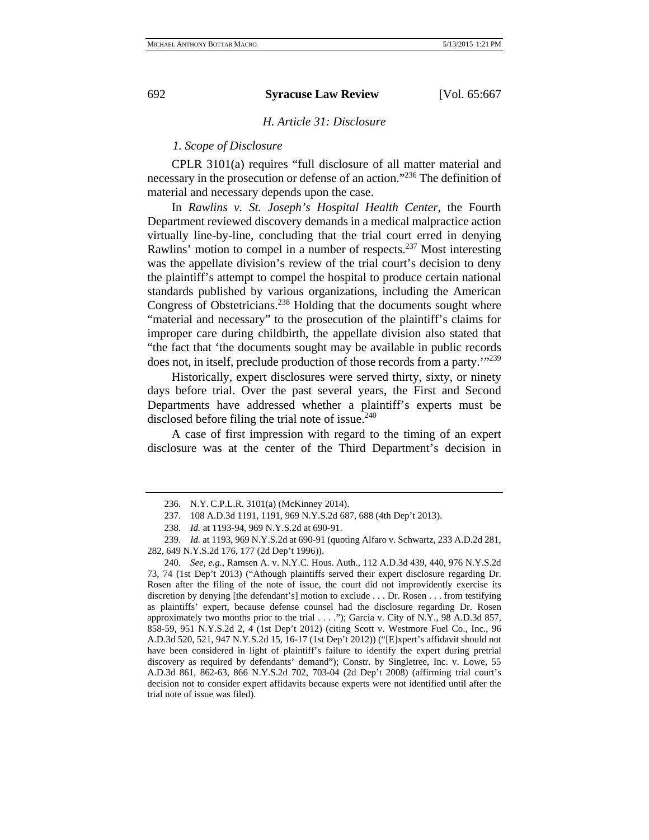# *H. Article 31: Disclosure*

# *1. Scope of Disclosure*

CPLR 3101(a) requires "full disclosure of all matter material and necessary in the prosecution or defense of an action."236 The definition of material and necessary depends upon the case.

In *Rawlins v. St. Joseph's Hospital Health Center*, the Fourth Department reviewed discovery demands in a medical malpractice action virtually line-by-line, concluding that the trial court erred in denying Rawlins' motion to compel in a number of respects.<sup>237</sup> Most interesting was the appellate division's review of the trial court's decision to deny the plaintiff's attempt to compel the hospital to produce certain national standards published by various organizations, including the American Congress of Obstetricians.<sup>238</sup> Holding that the documents sought where "material and necessary" to the prosecution of the plaintiff's claims for improper care during childbirth, the appellate division also stated that "the fact that 'the documents sought may be available in public records does not, in itself, preclude production of those records from a party.'"239

Historically, expert disclosures were served thirty, sixty, or ninety days before trial. Over the past several years, the First and Second Departments have addressed whether a plaintiff's experts must be disclosed before filing the trial note of issue.<sup>240</sup>

A case of first impression with regard to the timing of an expert disclosure was at the center of the Third Department's decision in

<sup>236.</sup> N.Y. C.P.L.R. 3101(a) (McKinney 2014).

<sup>237. 108</sup> A.D.3d 1191, 1191, 969 N.Y.S.2d 687, 688 (4th Dep't 2013).

<sup>238.</sup> *Id.* at 1193-94, 969 N.Y.S.2d at 690-91.

<sup>239.</sup> *Id.* at 1193, 969 N.Y.S.2d at 690-91 (quoting Alfaro v. Schwartz, 233 A.D.2d 281, 282, 649 N.Y.S.2d 176, 177 (2d Dep't 1996)).

<sup>240.</sup> *See, e.g.*, Ramsen A. v. N.Y.C. Hous. Auth., 112 A.D.3d 439, 440, 976 N.Y.S.2d 73, 74 (1st Dep't 2013) ("Athough plaintiffs served their expert disclosure regarding Dr. Rosen after the filing of the note of issue, the court did not improvidently exercise its discretion by denying [the defendant's] motion to exclude . . . Dr. Rosen . . . from testifying as plaintiffs' expert, because defense counsel had the disclosure regarding Dr. Rosen approximately two months prior to the trial . . . ."); Garcia v. City of N.Y., 98 A.D.3d 857, 858-59, 951 N.Y.S.2d 2, 4 (1st Dep't 2012) (citing Scott v. Westmore Fuel Co., Inc., 96 A.D.3d 520, 521, 947 N.Y.S.2d 15, 16-17 (1st Dep't 2012)) ("[E]xpert's affidavit should not have been considered in light of plaintiff's failure to identify the expert during pretrial discovery as required by defendants' demand"); Constr. by Singletree, Inc. v. Lowe, 55 A.D.3d 861, 862-63, 866 N.Y.S.2d 702, 703-04 (2d Dep't 2008) (affirming trial court's decision not to consider expert affidavits because experts were not identified until after the trial note of issue was filed).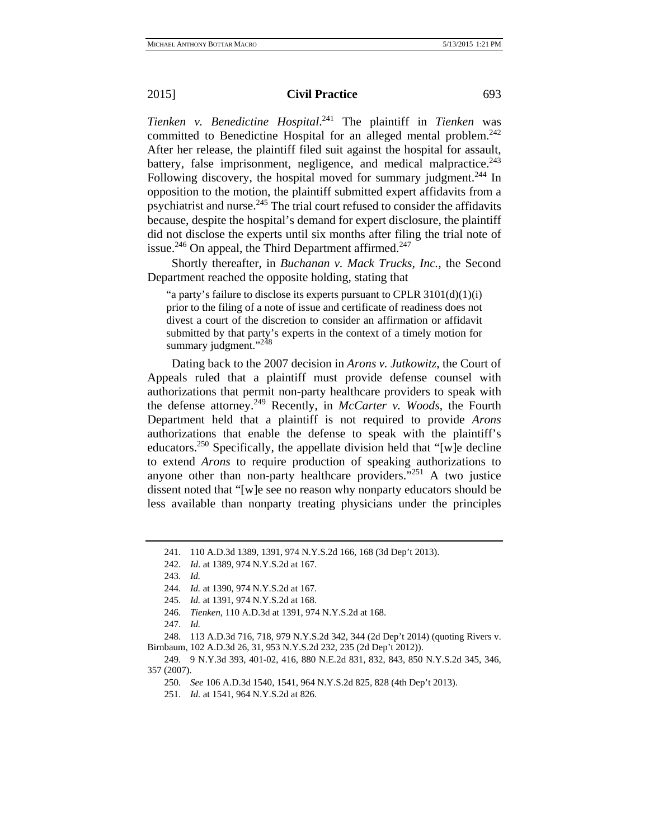*Tienken v. Benedictine Hospital*. 241 The plaintiff in *Tienken* was committed to Benedictine Hospital for an alleged mental problem.<sup>242</sup> After her release, the plaintiff filed suit against the hospital for assault, battery, false imprisonment, negligence, and medical malpractice.<sup>243</sup> Following discovery, the hospital moved for summary judgment.<sup>244</sup> In opposition to the motion, the plaintiff submitted expert affidavits from a psychiatrist and nurse. $245$  The trial court refused to consider the affidavits because, despite the hospital's demand for expert disclosure, the plaintiff did not disclose the experts until six months after filing the trial note of issue.<sup>246</sup> On appeal, the Third Department affirmed.<sup>247</sup>

Shortly thereafter, in *Buchanan v. Mack Trucks, Inc.*, the Second Department reached the opposite holding, stating that

"a party's failure to disclose its experts pursuant to CPLR  $3101(d)(1)(i)$ prior to the filing of a note of issue and certificate of readiness does not divest a court of the discretion to consider an affirmation or affidavit submitted by that party's experts in the context of a timely motion for summary judgment."<sup>248</sup>

Dating back to the 2007 decision in *Arons v. Jutkowitz*, the Court of Appeals ruled that a plaintiff must provide defense counsel with authorizations that permit non-party healthcare providers to speak with the defense attorney.249 Recently, in *McCarter v. Woods*, the Fourth Department held that a plaintiff is not required to provide *Arons* authorizations that enable the defense to speak with the plaintiff's educators.250 Specifically, the appellate division held that "[w]e decline to extend *Arons* to require production of speaking authorizations to anyone other than non-party healthcare providers."251 A two justice dissent noted that "[w]e see no reason why nonparty educators should be less available than nonparty treating physicians under the principles

<sup>241. 110</sup> A.D.3d 1389, 1391, 974 N.Y.S.2d 166, 168 (3d Dep't 2013).

<sup>242.</sup> *Id*. at 1389, 974 N.Y.S.2d at 167.

<sup>243.</sup> *Id.*

<sup>244.</sup> *Id.* at 1390, 974 N.Y.S.2d at 167.

<sup>245.</sup> *Id.* at 1391, 974 N.Y.S.2d at 168.

<sup>246.</sup> *Tienken*, 110 A.D.3d at 1391, 974 N.Y.S.2d at 168.

<sup>247.</sup> *Id.*

<sup>248. 113</sup> A.D.3d 716, 718, 979 N.Y.S.2d 342, 344 (2d Dep't 2014) (quoting Rivers v. Birnbaum, 102 A.D.3d 26, 31, 953 N.Y.S.2d 232, 235 (2d Dep't 2012)).

<sup>249. 9</sup> N.Y.3d 393, 401-02, 416, 880 N.E.2d 831, 832, 843, 850 N.Y.S.2d 345, 346, 357 (2007).

<sup>250.</sup> *See* 106 A.D.3d 1540, 1541, 964 N.Y.S.2d 825, 828 (4th Dep't 2013).

<sup>251.</sup> *Id.* at 1541, 964 N.Y.S.2d at 826.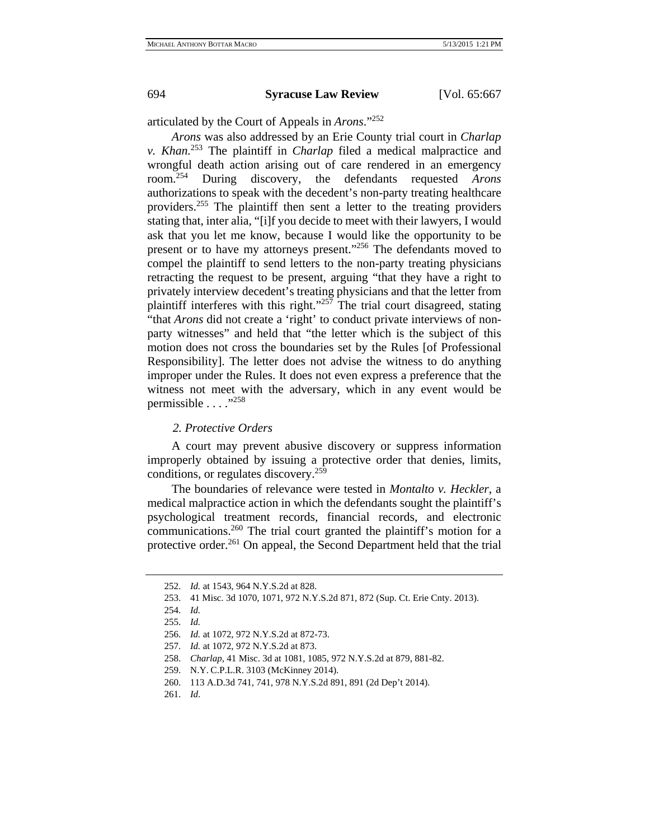articulated by the Court of Appeals in *Arons*."252

*Arons* was also addressed by an Erie County trial court in *Charlap v. Khan.*<sup>253</sup> The plaintiff in *Charlap* filed a medical malpractice and wrongful death action arising out of care rendered in an emergency room.254 During discovery, the defendants requested *Arons* authorizations to speak with the decedent's non-party treating healthcare providers.255 The plaintiff then sent a letter to the treating providers stating that, inter alia, "[i]f you decide to meet with their lawyers, I would ask that you let me know, because I would like the opportunity to be present or to have my attorneys present."<sup>256</sup> The defendants moved to compel the plaintiff to send letters to the non-party treating physicians retracting the request to be present, arguing "that they have a right to privately interview decedent's treating physicians and that the letter from plaintiff interferes with this right." $257$  The trial court disagreed, stating "that *Arons* did not create a 'right' to conduct private interviews of nonparty witnesses" and held that "the letter which is the subject of this motion does not cross the boundaries set by the Rules [of Professional Responsibility]. The letter does not advise the witness to do anything improper under the Rules. It does not even express a preference that the witness not meet with the adversary, which in any event would be permissible . . . . "258

#### *2. Protective Orders*

A court may prevent abusive discovery or suppress information improperly obtained by issuing a protective order that denies, limits, conditions, or regulates discovery.259

The boundaries of relevance were tested in *Montalto v. Heckler*, a medical malpractice action in which the defendants sought the plaintiff's psychological treatment records, financial records, and electronic communications.260 The trial court granted the plaintiff's motion for a protective order.<sup>261</sup> On appeal, the Second Department held that the trial

<sup>252.</sup> *Id.* at 1543, 964 N.Y.S.2d at 828.

<sup>253. 41</sup> Misc. 3d 1070, 1071, 972 N.Y.S.2d 871, 872 (Sup. Ct. Erie Cnty. 2013).

<sup>254.</sup> *Id.*

<sup>255.</sup> *Id.*

<sup>256.</sup> *Id.* at 1072, 972 N.Y.S.2d at 872-73.

<sup>257.</sup> *Id.* at 1072, 972 N.Y.S.2d at 873.

<sup>258.</sup> *Charlap*, 41 Misc. 3d at 1081, 1085, 972 N.Y.S.2d at 879, 881-82.

<sup>259.</sup> N.Y. C.P.L.R. 3103 (McKinney 2014).

<sup>260. 113</sup> A.D.3d 741, 741, 978 N.Y.S.2d 891, 891 (2d Dep't 2014).

<sup>261.</sup> *Id*.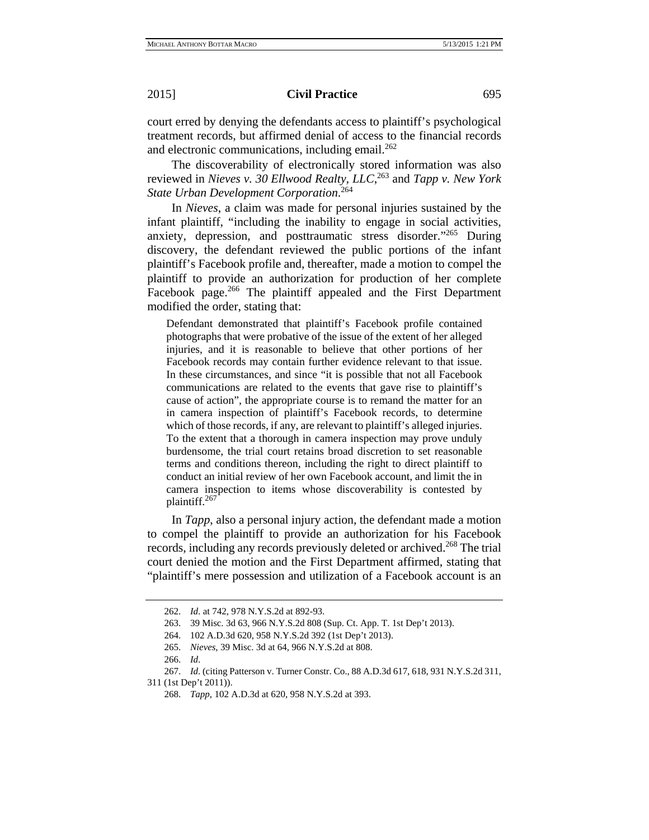court erred by denying the defendants access to plaintiff's psychological treatment records, but affirmed denial of access to the financial records and electronic communications, including email.<sup>262</sup>

The discoverability of electronically stored information was also reviewed in *Nieves v. 30 Ellwood Realty, LLC*, 263 and *Tapp v. New York State Urban Development Corporation*. 264

In *Nieves*, a claim was made for personal injuries sustained by the infant plaintiff, "including the inability to engage in social activities, anxiety, depression, and posttraumatic stress disorder."265 During discovery, the defendant reviewed the public portions of the infant plaintiff's Facebook profile and, thereafter, made a motion to compel the plaintiff to provide an authorization for production of her complete Facebook page.<sup>266</sup> The plaintiff appealed and the First Department modified the order, stating that:

Defendant demonstrated that plaintiff's Facebook profile contained photographs that were probative of the issue of the extent of her alleged injuries, and it is reasonable to believe that other portions of her Facebook records may contain further evidence relevant to that issue. In these circumstances, and since "it is possible that not all Facebook communications are related to the events that gave rise to plaintiff's cause of action", the appropriate course is to remand the matter for an in camera inspection of plaintiff's Facebook records, to determine which of those records, if any, are relevant to plaintiff's alleged injuries. To the extent that a thorough in camera inspection may prove unduly burdensome, the trial court retains broad discretion to set reasonable terms and conditions thereon, including the right to direct plaintiff to conduct an initial review of her own Facebook account, and limit the in camera inspection to items whose discoverability is contested by plaintiff.<sup>267</sup>

In *Tapp*, also a personal injury action, the defendant made a motion to compel the plaintiff to provide an authorization for his Facebook records, including any records previously deleted or archived.<sup>268</sup> The trial court denied the motion and the First Department affirmed, stating that "plaintiff's mere possession and utilization of a Facebook account is an

<sup>262.</sup> *Id*. at 742, 978 N.Y.S.2d at 892-93.

<sup>263. 39</sup> Misc. 3d 63, 966 N.Y.S.2d 808 (Sup. Ct. App. T. 1st Dep't 2013).

<sup>264. 102</sup> A.D.3d 620, 958 N.Y.S.2d 392 (1st Dep't 2013).

<sup>265.</sup> *Nieves*, 39 Misc. 3d at 64, 966 N.Y.S.2d at 808.

<sup>266.</sup> *Id*.

<sup>267.</sup> *Id*. (citing Patterson v. Turner Constr. Co., 88 A.D.3d 617, 618, 931 N.Y.S.2d 311, 311 (1st Dep't 2011)).

<sup>268.</sup> *Tapp*, 102 A.D.3d at 620, 958 N.Y.S.2d at 393.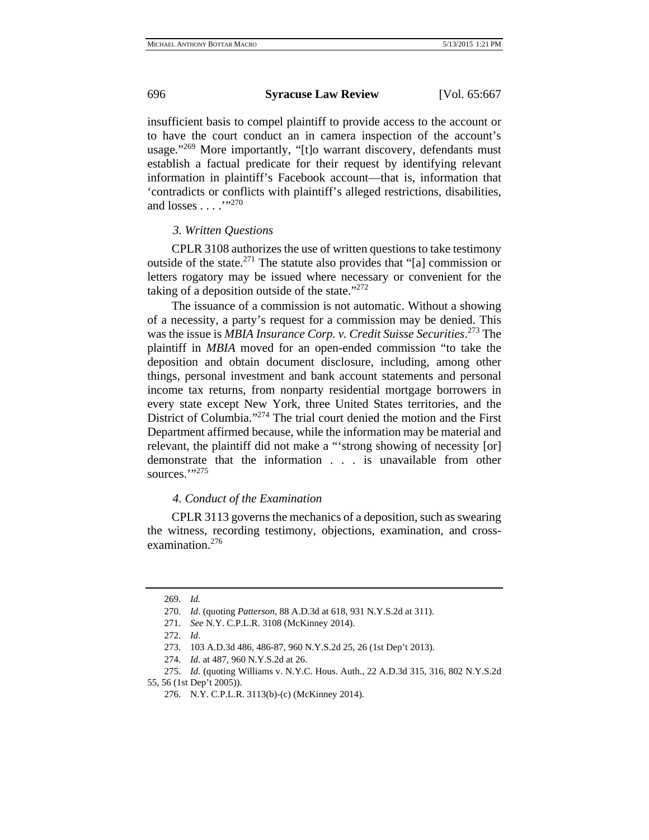insufficient basis to compel plaintiff to provide access to the account or to have the court conduct an in camera inspection of the account's usage."<sup>269</sup> More importantly, "[t]o warrant discovery, defendants must establish a factual predicate for their request by identifying relevant information in plaintiff's Facebook account—that is, information that 'contradicts or conflicts with plaintiff's alleged restrictions, disabilities, and losses . . . . .<sup>''270</sup>

#### *3. Written Questions*

CPLR 3108 authorizes the use of written questions to take testimony outside of the state. $^{271}$  The statute also provides that "[a] commission or letters rogatory may be issued where necessary or convenient for the taking of a deposition outside of the state."<sup>272</sup>

The issuance of a commission is not automatic. Without a showing of a necessity, a party's request for a commission may be denied. This was the issue is *MBIA Insurance Corp. v. Credit Suisse Securities*. 273 The plaintiff in *MBIA* moved for an open-ended commission "to take the deposition and obtain document disclosure, including, among other things, personal investment and bank account statements and personal income tax returns, from nonparty residential mortgage borrowers in every state except New York, three United States territories, and the District of Columbia."<sup>274</sup> The trial court denied the motion and the First Department affirmed because, while the information may be material and relevant, the plaintiff did not make a "'strong showing of necessity [or] demonstrate that the information . . . is unavailable from other sources."?275

### *4. Conduct of the Examination*

CPLR 3113 governs the mechanics of a deposition, such as swearing the witness, recording testimony, objections, examination, and crossexamination.<sup>276</sup>

<sup>269.</sup> *Id.*

<sup>270.</sup> *Id*. (quoting *Patterson*, 88 A.D.3d at 618, 931 N.Y.S.2d at 311).

<sup>271.</sup> *See* N.Y. C.P.L.R. 3108 (McKinney 2014).

<sup>272.</sup> *Id*.

<sup>273. 103</sup> A.D.3d 486, 486-87, 960 N.Y.S.2d 25, 26 (1st Dep't 2013).

<sup>274.</sup> *Id*. at 487, 960 N.Y.S.2d at 26.

<sup>275.</sup> *Id.* (quoting Williams v. N.Y.C. Hous. Auth., 22 A.D.3d 315, 316, 802 N.Y.S.2d 55, 56 (1st Dep't 2005)).

<sup>276.</sup> N.Y. C.P.L.R. 3113(b)-(c) (McKinney 2014).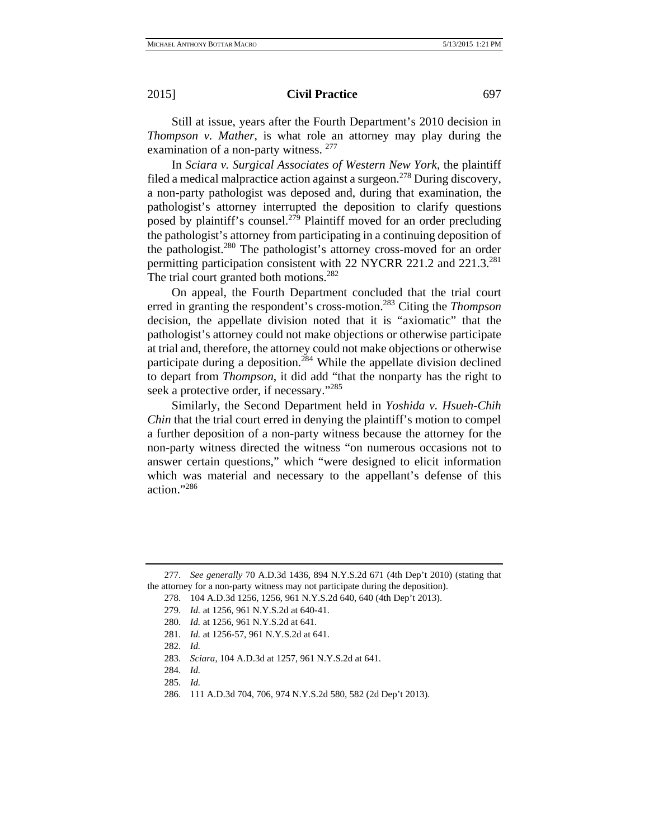Still at issue, years after the Fourth Department's 2010 decision in *Thompson v. Mather*, is what role an attorney may play during the examination of a non-party witness. <sup>277</sup>

In *Sciara v. Surgical Associates of Western New York*, the plaintiff filed a medical malpractice action against a surgeon.<sup>278</sup> During discovery, a non-party pathologist was deposed and, during that examination, the pathologist's attorney interrupted the deposition to clarify questions posed by plaintiff's counsel.<sup>279</sup> Plaintiff moved for an order precluding the pathologist's attorney from participating in a continuing deposition of the pathologist.<sup>280</sup> The pathologist's attorney cross-moved for an order permitting participation consistent with 22 NYCRR 221.2 and 221.3.<sup>281</sup> The trial court granted both motions.<sup>282</sup>

On appeal, the Fourth Department concluded that the trial court erred in granting the respondent's cross-motion.283 Citing the *Thompson* decision, the appellate division noted that it is "axiomatic" that the pathologist's attorney could not make objections or otherwise participate at trial and, therefore, the attorney could not make objections or otherwise participate during a deposition.<sup>284</sup> While the appellate division declined to depart from *Thompson*, it did add "that the nonparty has the right to seek a protective order, if necessary."285

Similarly, the Second Department held in *Yoshida v. Hsueh-Chih Chin* that the trial court erred in denying the plaintiff's motion to compel a further deposition of a non-party witness because the attorney for the non-party witness directed the witness "on numerous occasions not to answer certain questions," which "were designed to elicit information which was material and necessary to the appellant's defense of this action."286

<sup>277.</sup> *See generally* 70 A.D.3d 1436, 894 N.Y.S.2d 671 (4th Dep't 2010) (stating that the attorney for a non-party witness may not participate during the deposition).

<sup>278. 104</sup> A.D.3d 1256, 1256, 961 N.Y.S.2d 640, 640 (4th Dep't 2013).

<sup>279.</sup> *Id.* at 1256, 961 N.Y.S.2d at 640-41.

<sup>280.</sup> *Id.* at 1256, 961 N.Y.S.2d at 641.

<sup>281.</sup> *Id.* at 1256-57, 961 N.Y.S.2d at 641.

<sup>282.</sup> *Id.*

<sup>283.</sup> *Sciara*, 104 A.D.3d at 1257, 961 N.Y.S.2d at 641.

<sup>284.</sup> *Id.*

<sup>285.</sup> *Id.*

<sup>286. 111</sup> A.D.3d 704, 706, 974 N.Y.S.2d 580, 582 (2d Dep't 2013).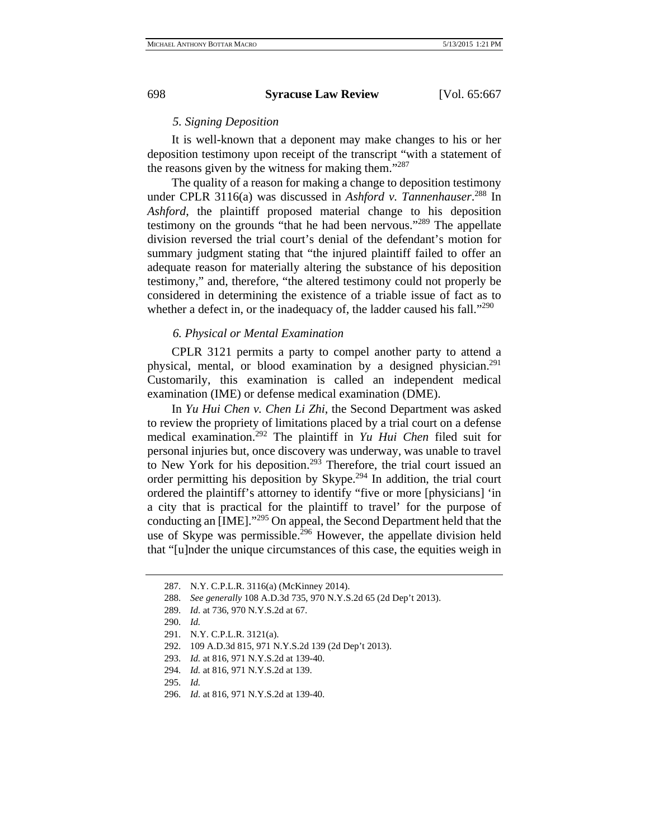### *5. Signing Deposition*

It is well-known that a deponent may make changes to his or her deposition testimony upon receipt of the transcript "with a statement of the reasons given by the witness for making them."<sup>287</sup>

The quality of a reason for making a change to deposition testimony under CPLR 3116(a) was discussed in *Ashford v. Tannenhauser*. 288 In *Ashford*, the plaintiff proposed material change to his deposition testimony on the grounds "that he had been nervous."289 The appellate division reversed the trial court's denial of the defendant's motion for summary judgment stating that "the injured plaintiff failed to offer an adequate reason for materially altering the substance of his deposition testimony," and, therefore, "the altered testimony could not properly be considered in determining the existence of a triable issue of fact as to whether a defect in, or the inadequacy of, the ladder caused his fall."<sup>290</sup>

# *6. Physical or Mental Examination*

CPLR 3121 permits a party to compel another party to attend a physical, mental, or blood examination by a designed physician.<sup>291</sup> Customarily, this examination is called an independent medical examination (IME) or defense medical examination (DME).

In *Yu Hui Chen v. Chen Li Zhi*, the Second Department was asked to review the propriety of limitations placed by a trial court on a defense medical examination.292 The plaintiff in *Yu Hui Chen* filed suit for personal injuries but, once discovery was underway, was unable to travel to New York for his deposition.293 Therefore, the trial court issued an order permitting his deposition by Skype.<sup>294</sup> In addition, the trial court ordered the plaintiff's attorney to identify "five or more [physicians] 'in a city that is practical for the plaintiff to travel' for the purpose of conducting an [IME]."295 On appeal, the Second Department held that the use of Skype was permissible.<sup>296</sup> However, the appellate division held that "[u]nder the unique circumstances of this case, the equities weigh in

- 292. 109 A.D.3d 815, 971 N.Y.S.2d 139 (2d Dep't 2013).
- 293. *Id.* at 816, 971 N.Y.S.2d at 139-40.
- 294. *Id.* at 816, 971 N.Y.S.2d at 139.
- 295. *Id.*
- 296. *Id.* at 816, 971 N.Y.S.2d at 139-40.

<sup>287.</sup> N.Y. C.P.L.R. 3116(a) (McKinney 2014).

<sup>288.</sup> *See generally* 108 A.D.3d 735, 970 N.Y.S.2d 65 (2d Dep't 2013).

<sup>289.</sup> *Id.* at 736, 970 N.Y.S.2d at 67.

<sup>290.</sup> *Id.*

<sup>291.</sup> N.Y. C.P.L.R. 3121(a).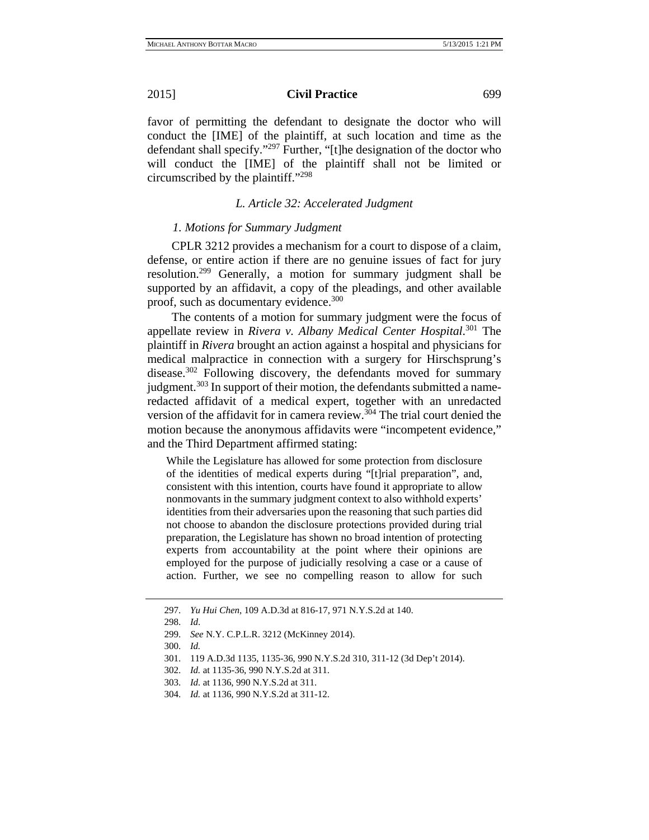favor of permitting the defendant to designate the doctor who will conduct the [IME] of the plaintiff, at such location and time as the defendant shall specify."297 Further, "[t]he designation of the doctor who will conduct the [IME] of the plaintiff shall not be limited or circumscribed by the plaintiff."298

# *L. Article 32: Accelerated Judgment*

# *1. Motions for Summary Judgment*

CPLR 3212 provides a mechanism for a court to dispose of a claim, defense, or entire action if there are no genuine issues of fact for jury resolution.<sup>299</sup> Generally, a motion for summary judgment shall be supported by an affidavit, a copy of the pleadings, and other available proof, such as documentary evidence.<sup>300</sup>

The contents of a motion for summary judgment were the focus of appellate review in *Rivera v. Albany Medical Center Hospital*. 301 The plaintiff in *Rivera* brought an action against a hospital and physicians for medical malpractice in connection with a surgery for Hirschsprung's disease.<sup>302</sup> Following discovery, the defendants moved for summary judgment.<sup>303</sup> In support of their motion, the defendants submitted a nameredacted affidavit of a medical expert, together with an unredacted version of the affidavit for in camera review.<sup>304</sup> The trial court denied the motion because the anonymous affidavits were "incompetent evidence," and the Third Department affirmed stating:

While the Legislature has allowed for some protection from disclosure of the identities of medical experts during "[t]rial preparation", and, consistent with this intention, courts have found it appropriate to allow nonmovants in the summary judgment context to also withhold experts' identities from their adversaries upon the reasoning that such parties did not choose to abandon the disclosure protections provided during trial preparation, the Legislature has shown no broad intention of protecting experts from accountability at the point where their opinions are employed for the purpose of judicially resolving a case or a cause of action. Further, we see no compelling reason to allow for such

<sup>297.</sup> *Yu Hui Chen*, 109 A.D.3d at 816-17, 971 N.Y.S.2d at 140.

<sup>298.</sup> *Id*.

<sup>299.</sup> *See* N.Y. C.P.L.R. 3212 (McKinney 2014).

<sup>300.</sup> *Id.*

<sup>301. 119</sup> A.D.3d 1135, 1135-36, 990 N.Y.S.2d 310, 311-12 (3d Dep't 2014).

<sup>302.</sup> *Id.* at 1135-36, 990 N.Y.S.2d at 311.

<sup>303.</sup> *Id.* at 1136, 990 N.Y.S.2d at 311.

<sup>304.</sup> *Id.* at 1136, 990 N.Y.S.2d at 311-12.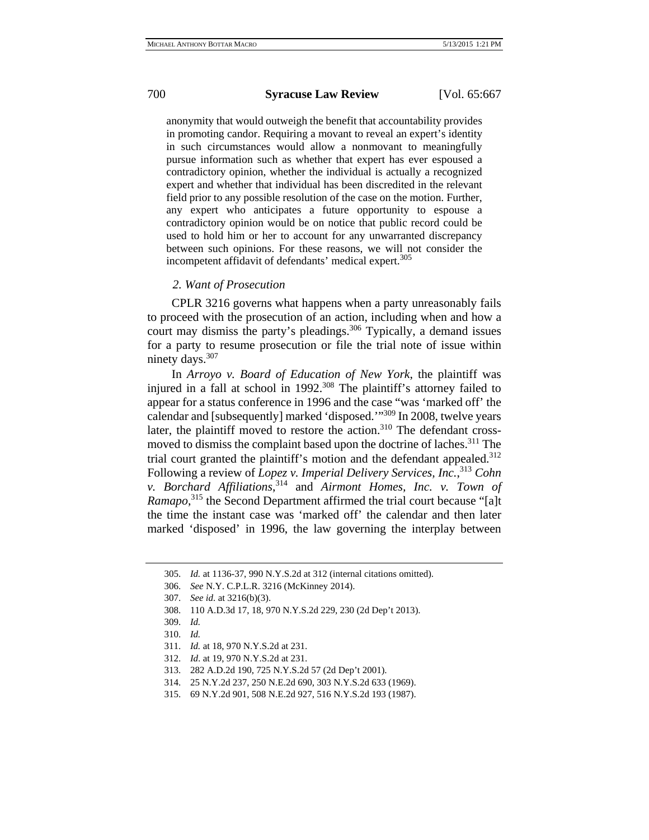anonymity that would outweigh the benefit that accountability provides in promoting candor. Requiring a movant to reveal an expert's identity in such circumstances would allow a nonmovant to meaningfully pursue information such as whether that expert has ever espoused a contradictory opinion, whether the individual is actually a recognized expert and whether that individual has been discredited in the relevant field prior to any possible resolution of the case on the motion. Further, any expert who anticipates a future opportunity to espouse a contradictory opinion would be on notice that public record could be used to hold him or her to account for any unwarranted discrepancy between such opinions. For these reasons, we will not consider the incompetent affidavit of defendants' medical expert.<sup>305</sup>

### *2. Want of Prosecution*

CPLR 3216 governs what happens when a party unreasonably fails to proceed with the prosecution of an action, including when and how a court may dismiss the party's pleadings.<sup>306</sup> Typically, a demand issues for a party to resume prosecution or file the trial note of issue within ninety days.<sup>307</sup>

In *Arroyo v. Board of Education of New York*, the plaintiff was injured in a fall at school in 1992.<sup>308</sup> The plaintiff's attorney failed to appear for a status conference in 1996 and the case "was 'marked off' the calendar and [subsequently] marked 'disposed.'"309 In 2008, twelve years later, the plaintiff moved to restore the action. $310$  The defendant crossmoved to dismiss the complaint based upon the doctrine of laches.<sup>311</sup> The trial court granted the plaintiff's motion and the defendant appealed.<sup>312</sup> Following a review of *Lopez v. Imperial Delivery Services, Inc.*, <sup>313</sup> *Cohn v. Borchard Affiliations*, 314 and *Airmont Homes, Inc. v. Town of Ramapo*, 315 the Second Department affirmed the trial court because "[a]t the time the instant case was 'marked off' the calendar and then later marked 'disposed' in 1996, the law governing the interplay between

<sup>305.</sup> *Id.* at 1136-37, 990 N.Y.S.2d at 312 (internal citations omitted).

<sup>306.</sup> *See* N.Y. C.P.L.R. 3216 (McKinney 2014).

<sup>307.</sup> *See id.* at 3216(b)(3).

<sup>308. 110</sup> A.D.3d 17, 18, 970 N.Y.S.2d 229, 230 (2d Dep't 2013).

<sup>309.</sup> *Id.*

<sup>310.</sup> *Id.*

<sup>311.</sup> *Id.* at 18, 970 N.Y.S.2d at 231.

<sup>312.</sup> *Id*. at 19, 970 N.Y.S.2d at 231.

<sup>313. 282</sup> A.D.2d 190, 725 N.Y.S.2d 57 (2d Dep't 2001).

<sup>314. 25</sup> N.Y.2d 237, 250 N.E.2d 690, 303 N.Y.S.2d 633 (1969).

<sup>315. 69</sup> N.Y.2d 901, 508 N.E.2d 927, 516 N.Y.S.2d 193 (1987).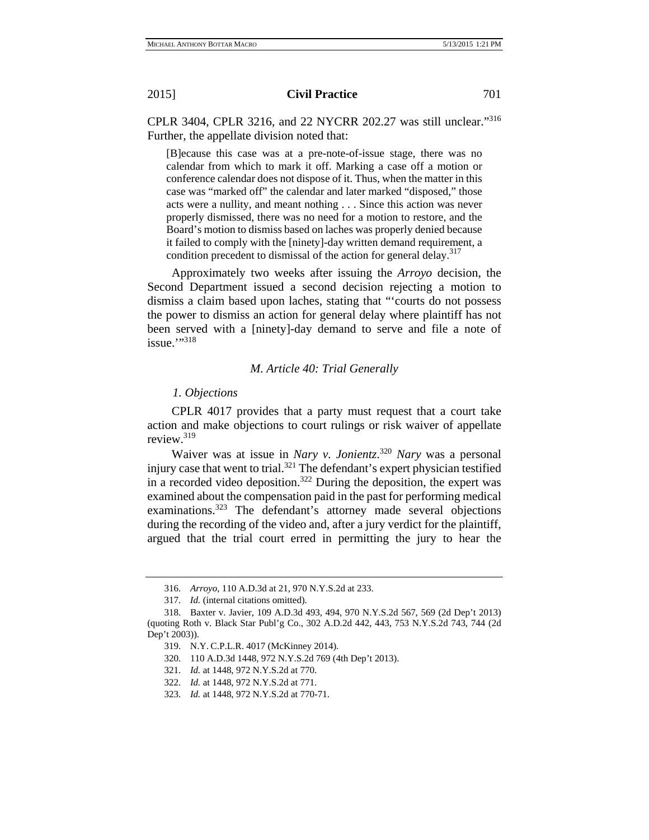CPLR 3404, CPLR 3216, and 22 NYCRR 202.27 was still unclear."316 Further, the appellate division noted that:

[B]ecause this case was at a pre-note-of-issue stage, there was no calendar from which to mark it off. Marking a case off a motion or conference calendar does not dispose of it. Thus, when the matter in this case was "marked off" the calendar and later marked "disposed," those acts were a nullity, and meant nothing . . . Since this action was never properly dismissed, there was no need for a motion to restore, and the Board's motion to dismiss based on laches was properly denied because it failed to comply with the [ninety]-day written demand requirement, a condition precedent to dismissal of the action for general delay.<sup>317</sup>

Approximately two weeks after issuing the *Arroyo* decision, the Second Department issued a second decision rejecting a motion to dismiss a claim based upon laches, stating that "'courts do not possess the power to dismiss an action for general delay where plaintiff has not been served with a [ninety]-day demand to serve and file a note of  $i$ ssue." $318$ 

### *M. Article 40: Trial Generally*

### *1. Objections*

CPLR 4017 provides that a party must request that a court take action and make objections to court rulings or risk waiver of appellate review.319

Waiver was at issue in *Nary v. Jonientz*. <sup>320</sup> *Nary* was a personal injury case that went to trial.<sup>321</sup> The defendant's expert physician testified in a recorded video deposition.<sup>322</sup> During the deposition, the expert was examined about the compensation paid in the past for performing medical examinations.<sup>323</sup> The defendant's attorney made several objections during the recording of the video and, after a jury verdict for the plaintiff, argued that the trial court erred in permitting the jury to hear the

<sup>316.</sup> *Arroyo*, 110 A.D.3d at 21, 970 N.Y.S.2d at 233.

<sup>317.</sup> *Id.* (internal citations omitted).

<sup>318.</sup> Baxter v. Javier, 109 A.D.3d 493, 494, 970 N.Y.S.2d 567, 569 (2d Dep't 2013) (quoting Roth v. Black Star Publ'g Co., 302 A.D.2d 442, 443, 753 N.Y.S.2d 743, 744 (2d Dep't 2003)).

<sup>319.</sup> N.Y. C.P.L.R. 4017 (McKinney 2014).

<sup>320. 110</sup> A.D.3d 1448, 972 N.Y.S.2d 769 (4th Dep't 2013).

<sup>321.</sup> *Id.* at 1448, 972 N.Y.S.2d at 770.

<sup>322.</sup> *Id.* at 1448, 972 N.Y.S.2d at 771.

<sup>323.</sup> *Id.* at 1448, 972 N.Y.S.2d at 770-71.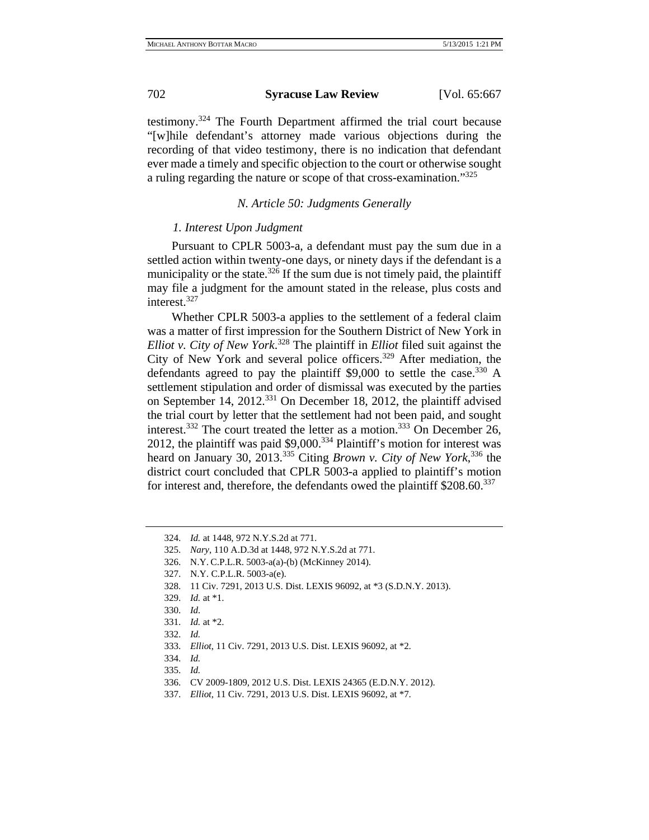testimony.324 The Fourth Department affirmed the trial court because "[w]hile defendant's attorney made various objections during the recording of that video testimony, there is no indication that defendant ever made a timely and specific objection to the court or otherwise sought a ruling regarding the nature or scope of that cross-examination."<sup>325</sup>

# *N. Article 50: Judgments Generally*

# *1. Interest Upon Judgment*

Pursuant to CPLR 5003-a, a defendant must pay the sum due in a settled action within twenty-one days, or ninety days if the defendant is a municipality or the state.<sup>326</sup> If the sum due is not timely paid, the plaintiff may file a judgment for the amount stated in the release, plus costs and interest.<sup>327</sup>

Whether CPLR 5003-a applies to the settlement of a federal claim was a matter of first impression for the Southern District of New York in *Elliot v. City of New York*. 328 The plaintiff in *Elliot* filed suit against the City of New York and several police officers.<sup>329</sup> After mediation, the defendants agreed to pay the plaintiff  $$9,000$  to settle the case.<sup>330</sup> A settlement stipulation and order of dismissal was executed by the parties on September 14, 2012.<sup>331</sup> On December 18, 2012, the plaintiff advised the trial court by letter that the settlement had not been paid, and sought interest.<sup>332</sup> The court treated the letter as a motion.<sup>333</sup> On December 26, 2012, the plaintiff was paid  $$9,000.<sup>334</sup>$  Plaintiff's motion for interest was heard on January 30, 2013.335 Citing *Brown v. City of New York*, 336 the district court concluded that CPLR 5003-a applied to plaintiff's motion for interest and, therefore, the defendants owed the plaintiff \$208.60.<sup>337</sup>

<sup>324.</sup> *Id.* at 1448, 972 N.Y.S.2d at 771.

<sup>325.</sup> *Nary*, 110 A.D.3d at 1448, 972 N.Y.S.2d at 771.

<sup>326.</sup> N.Y. C.P.L.R. 5003-a(a)-(b) (McKinney 2014).

<sup>327.</sup> N.Y. C.P.L.R. 5003-a(e).

<sup>328. 11</sup> Civ. 7291, 2013 U.S. Dist. LEXIS 96092, at \*3 (S.D.N.Y. 2013).

<sup>329.</sup> *Id.* at \*1.

<sup>330.</sup> *Id.* 

<sup>331.</sup> *Id.* at \*2.

<sup>332.</sup> *Id.*

<sup>333.</sup> *Elliot*, 11 Civ. 7291, 2013 U.S. Dist. LEXIS 96092, at \*2.

<sup>334.</sup> *Id.*

<sup>335.</sup> *Id.*

<sup>336.</sup> CV 2009-1809, 2012 U.S. Dist. LEXIS 24365 (E.D.N.Y. 2012).

<sup>337.</sup> *Elliot*, 11 Civ. 7291, 2013 U.S. Dist. LEXIS 96092, at \*7.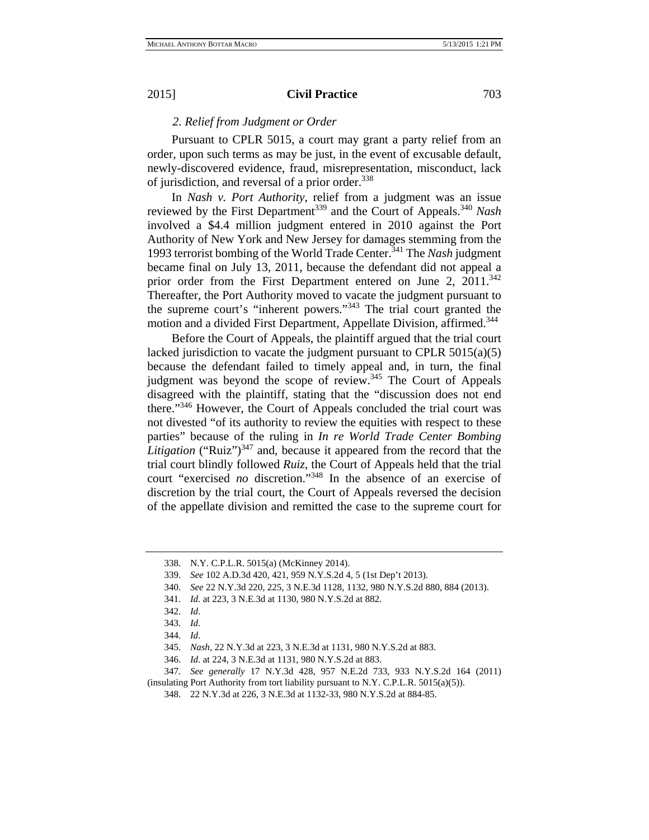# *2. Relief from Judgment or Order*

Pursuant to CPLR 5015, a court may grant a party relief from an order, upon such terms as may be just, in the event of excusable default, newly-discovered evidence, fraud, misrepresentation, misconduct, lack of jurisdiction, and reversal of a prior order.<sup>338</sup>

In *Nash v. Port Authority*, relief from a judgment was an issue reviewed by the First Department<sup>339</sup> and the Court of Appeals.<sup>340</sup> *Nash* involved a \$4.4 million judgment entered in 2010 against the Port Authority of New York and New Jersey for damages stemming from the 1993 terrorist bombing of the World Trade Center.341 The *Nash* judgment became final on July 13, 2011, because the defendant did not appeal a prior order from the First Department entered on June 2,  $2011.^{342}$ Thereafter, the Port Authority moved to vacate the judgment pursuant to the supreme court's "inherent powers."343 The trial court granted the motion and a divided First Department, Appellate Division, affirmed.<sup>344</sup>

Before the Court of Appeals, the plaintiff argued that the trial court lacked jurisdiction to vacate the judgment pursuant to CPLR 5015(a)(5) because the defendant failed to timely appeal and, in turn, the final judgment was beyond the scope of review.<sup>345</sup> The Court of Appeals disagreed with the plaintiff, stating that the "discussion does not end there."346 However, the Court of Appeals concluded the trial court was not divested "of its authority to review the equities with respect to these parties" because of the ruling in *In re World Trade Center Bombing Litigation* ("Ruiz") $347$  and, because it appeared from the record that the trial court blindly followed *Ruiz*, the Court of Appeals held that the trial court "exercised *no* discretion."348 In the absence of an exercise of discretion by the trial court, the Court of Appeals reversed the decision of the appellate division and remitted the case to the supreme court for

- 339. *See* 102 A.D.3d 420, 421, 959 N.Y.S.2d 4, 5 (1st Dep't 2013).
- 340. *See* 22 N.Y.3d 220, 225, 3 N.E.3d 1128, 1132, 980 N.Y.S.2d 880, 884 (2013).
- 341. *Id*. at 223, 3 N.E.3d at 1130, 980 N.Y.S.2d at 882.
- 342. *Id*.

346. *Id*. at 224, 3 N.E.3d at 1131, 980 N.Y.S.2d at 883.

347. *See generally* 17 N.Y.3d 428, 957 N.E.2d 733, 933 N.Y.S.2d 164 (2011) (insulating Port Authority from tort liability pursuant to N.Y. C.P.L.R. 5015(a)(5)).

<sup>338.</sup> N.Y. C.P.L.R. 5015(a) (McKinney 2014).

<sup>343.</sup> *Id*.

<sup>344.</sup> *Id*.

<sup>345.</sup> *Nash*, 22 N.Y.3d at 223, 3 N.E.3d at 1131, 980 N.Y.S.2d at 883.

<sup>348. 22</sup> N.Y.3d at 226, 3 N.E.3d at 1132-33, 980 N.Y.S.2d at 884-85.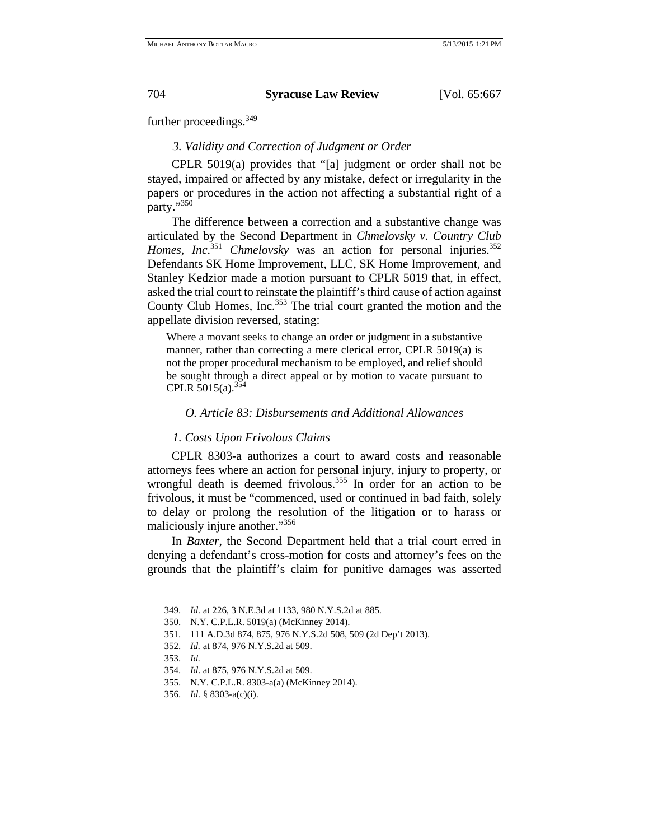further proceedings.<sup>349</sup>

# *3. Validity and Correction of Judgment or Order*

CPLR 5019(a) provides that "[a] judgment or order shall not be stayed, impaired or affected by any mistake, defect or irregularity in the papers or procedures in the action not affecting a substantial right of a party."350

The difference between a correction and a substantive change was articulated by the Second Department in *Chmelovsky v. Country Club*  Homes, Inc.<sup>351</sup> Chmelovsky was an action for personal injuries.<sup>352</sup> Defendants SK Home Improvement, LLC, SK Home Improvement, and Stanley Kedzior made a motion pursuant to CPLR 5019 that, in effect, asked the trial court to reinstate the plaintiff's third cause of action against County Club Homes, Inc.<sup>353</sup> The trial court granted the motion and the appellate division reversed, stating:

Where a movant seeks to change an order or judgment in a substantive manner, rather than correcting a mere clerical error, CPLR 5019(a) is not the proper procedural mechanism to be employed, and relief should be sought through a direct appeal or by motion to vacate pursuant to CPLR 5015(a).  $354$ 

# *O. Article 83: Disbursements and Additional Allowances*

#### *1. Costs Upon Frivolous Claims*

CPLR 8303-a authorizes a court to award costs and reasonable attorneys fees where an action for personal injury, injury to property, or wrongful death is deemed frivolous.<sup>355</sup> In order for an action to be frivolous, it must be "commenced, used or continued in bad faith, solely to delay or prolong the resolution of the litigation or to harass or maliciously injure another."356

In *Baxter*, the Second Department held that a trial court erred in denying a defendant's cross-motion for costs and attorney's fees on the grounds that the plaintiff's claim for punitive damages was asserted

<sup>349.</sup> *Id.* at 226, 3 N.E.3d at 1133, 980 N.Y.S.2d at 885.

<sup>350.</sup> N.Y. C.P.L.R. 5019(a) (McKinney 2014).

<sup>351. 111</sup> A.D.3d 874, 875, 976 N.Y.S.2d 508, 509 (2d Dep't 2013).

<sup>352.</sup> *Id.* at 874, 976 N.Y.S.2d at 509.

<sup>353.</sup> *Id.*

<sup>354.</sup> *Id*. at 875, 976 N.Y.S.2d at 509.

<sup>355.</sup> N.Y. C.P.L.R. 8303-a(a) (McKinney 2014).

<sup>356.</sup> *Id.* § 8303-a(c)(i).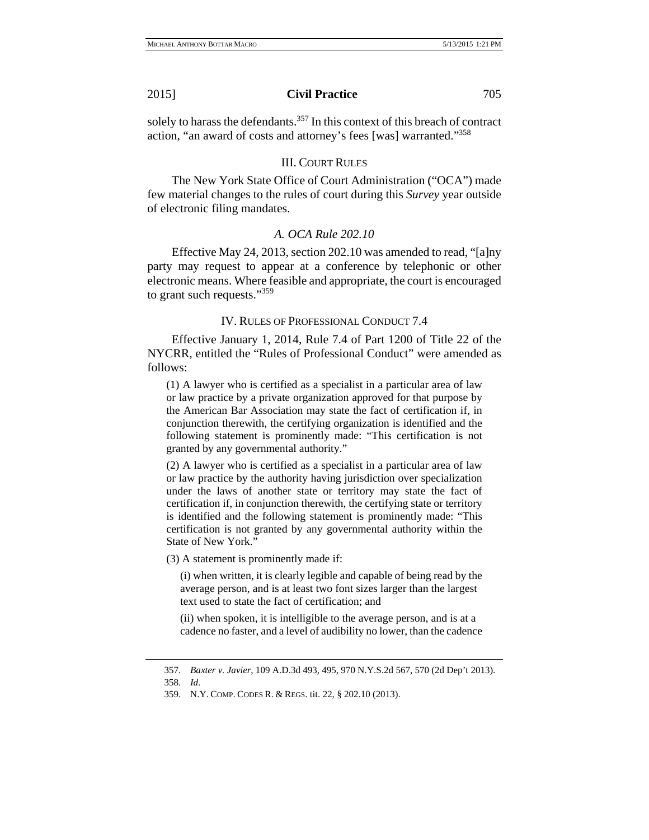solely to harass the defendants.<sup>357</sup> In this context of this breach of contract action, "an award of costs and attorney's fees [was] warranted."358

#### III. COURT RULES

The New York State Office of Court Administration ("OCA") made few material changes to the rules of court during this *Survey* year outside of electronic filing mandates.

# *A. OCA Rule 202.10*

Effective May 24, 2013, section 202.10 was amended to read, "[a]ny party may request to appear at a conference by telephonic or other electronic means. Where feasible and appropriate, the court is encouraged to grant such requests."<sup>359</sup>

# IV. RULES OF PROFESSIONAL CONDUCT 7.4

Effective January 1, 2014, Rule 7.4 of Part 1200 of Title 22 of the NYCRR, entitled the "Rules of Professional Conduct" were amended as follows:

(1) A lawyer who is certified as a specialist in a particular area of law or law practice by a private organization approved for that purpose by the American Bar Association may state the fact of certification if, in conjunction therewith, the certifying organization is identified and the following statement is prominently made: "This certification is not granted by any governmental authority."

(2) A lawyer who is certified as a specialist in a particular area of law or law practice by the authority having jurisdiction over specialization under the laws of another state or territory may state the fact of certification if, in conjunction therewith, the certifying state or territory is identified and the following statement is prominently made: "This certification is not granted by any governmental authority within the State of New York."

(3) A statement is prominently made if:

 (i) when written, it is clearly legible and capable of being read by the average person, and is at least two font sizes larger than the largest text used to state the fact of certification; and

 (ii) when spoken, it is intelligible to the average person, and is at a cadence no faster, and a level of audibility no lower, than the cadence

<sup>357.</sup> *Baxter v. Javier*, 109 A.D.3d 493, 495, 970 N.Y.S.2d 567, 570 (2d Dep't 2013).

<sup>358.</sup> *Id*.

<sup>359.</sup> N.Y. COMP. CODES R. & REGS. tit. 22, § 202.10 (2013).